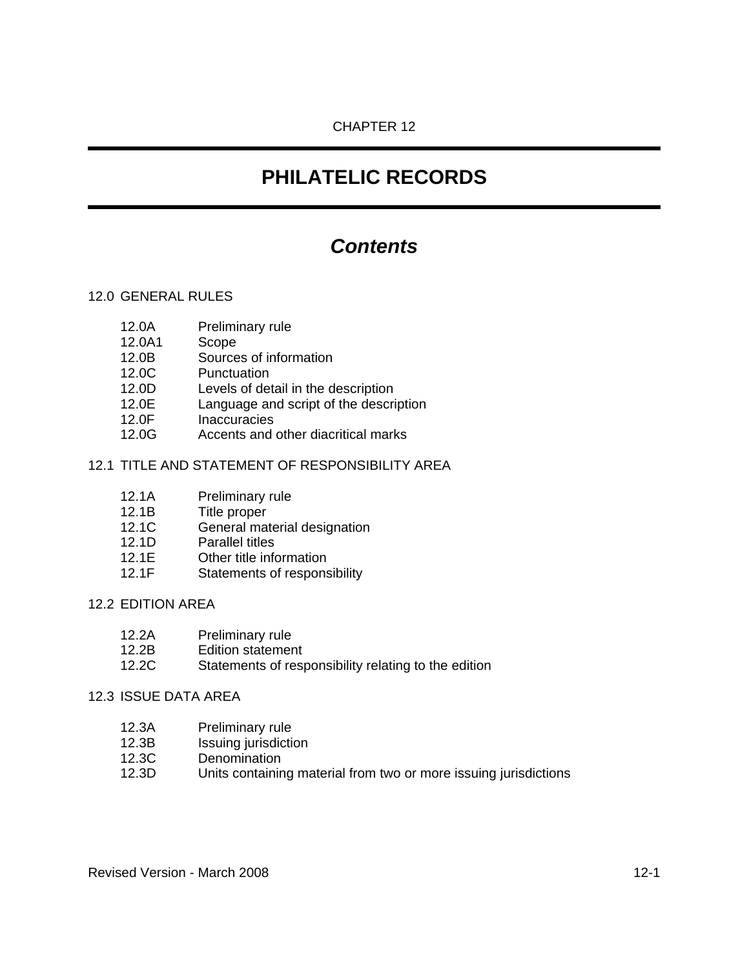# CHAPTER 12

# **PHILATELIC RECORDS**

# *Contents*

## 12.0 GENERAL RULES

- 12.0A Preliminary rule
- 12.0A1 Scope
- 12.0B Sources of information
- 12.0C Punctuation
- 12.0D Levels of detail in the description
- 12.0E Language and script of the description
- 12.0F Inaccuracies
- 12.0G Accents and other diacritical marks

## 12.1 TITLE AND STATEMENT OF RESPONSIBILITY AREA

- 12.1A Preliminary rule
- 12.1B Title proper
- 12.1C General material designation
- 12.1D Parallel titles
- 12.1E Other title information
- 12.1F Statements of responsibility

#### 12.2 EDITION AREA

- 12.2A Preliminary rule
- 12.2B Edition statement
- 12.2C Statements of responsibility relating to the edition

## 12.3 ISSUE DATA AREA

- 12.3A Preliminary rule
- 12.3B Issuing jurisdiction
- 12.3C Denomination
- 12.3D Units containing material from two or more issuing jurisdictions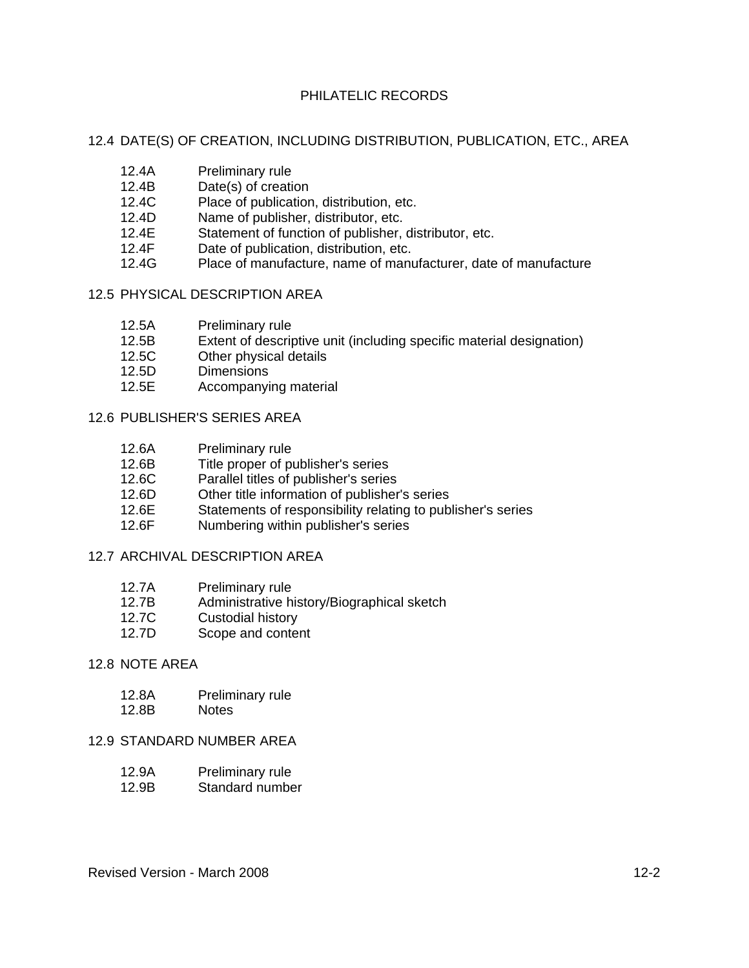#### 12.4 DATE(S) OF CREATION, INCLUDING DISTRIBUTION, PUBLICATION, ETC., AREA

- 12.4A Preliminary rule
- 12.4B Date(s) of creation
- 12.4C Place of publication, distribution, etc.
- 12.4D Name of publisher, distributor, etc.
- 12.4E Statement of function of publisher, distributor, etc.
- 12.4F Date of publication, distribution, etc.
- 12.4G Place of manufacture, name of manufacturer, date of manufacture

#### 12.5 PHYSICAL DESCRIPTION AREA

- 12.5A Preliminary rule
- 12.5B Extent of descriptive unit (including specific material designation)
- 12.5C Other physical details
- 12.5D Dimensions
- 12.5E Accompanying material

## 12.6 PUBLISHER'S SERIES AREA

- 12.6A Preliminary rule<br>12.6B Title proper of p
- Title proper of publisher's series
- 12.6C Parallel titles of publisher's series
- 12.6D Other title information of publisher's series
- 12.6E Statements of responsibility relating to publisher's series
- 12.6F Numbering within publisher's series

# 12.7 ARCHIVAL DESCRIPTION AREA

- 12.7A Preliminary rule<br>12.7B Administrative h
- Administrative history/Biographical sketch
- 12.7C Custodial history
- 12.7D Scope and content

#### 12.8 NOTE AREA

- 12.8A Preliminary rule
- 12.8B Notes

## 12.9 STANDARD NUMBER AREA

- 12.9A Preliminary rule
- 12.9B Standard number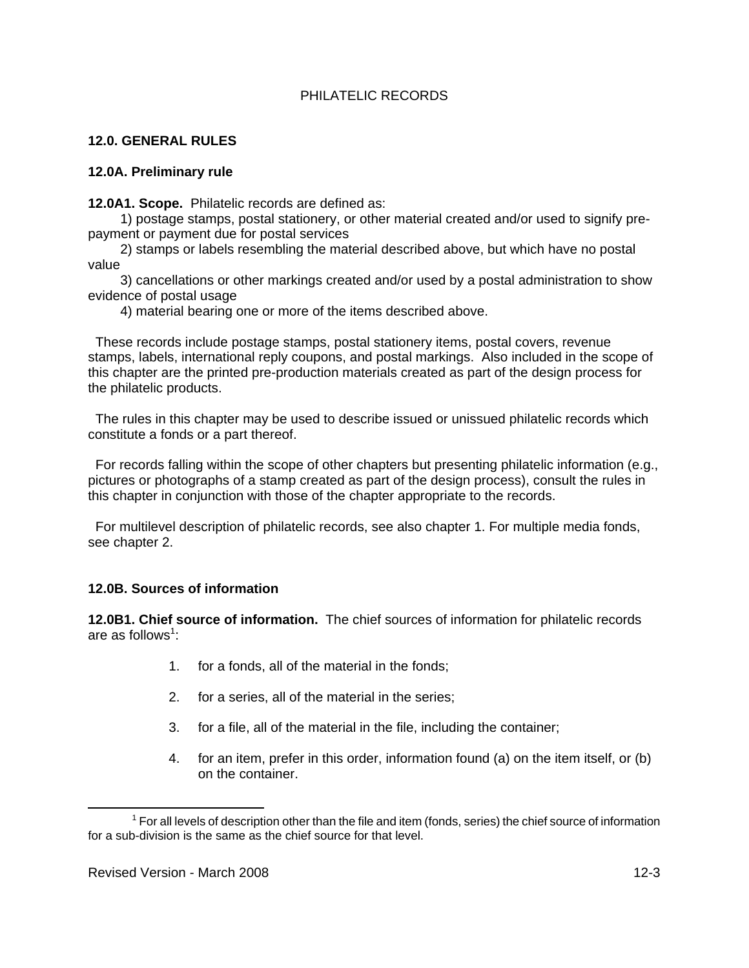# **12.0. GENERAL RULES**

#### **12.0A. Preliminary rule**

**12.0A1. Scope.** Philatelic records are defined as:

1) postage stamps, postal stationery, or other material created and/or used to signify prepayment or payment due for postal services

2) stamps or labels resembling the material described above, but which have no postal value

3) cancellations or other markings created and/or used by a postal administration to show evidence of postal usage

4) material bearing one or more of the items described above.

 These records include postage stamps, postal stationery items, postal covers, revenue stamps, labels, international reply coupons, and postal markings. Also included in the scope of this chapter are the printed pre-production materials created as part of the design process for the philatelic products.

 The rules in this chapter may be used to describe issued or unissued philatelic records which constitute a fonds or a part thereof.

 For records falling within the scope of other chapters but presenting philatelic information (e.g., pictures or photographs of a stamp created as part of the design process), consult the rules in this chapter in conjunction with those of the chapter appropriate to the records.

 For multilevel description of philatelic records, see also chapter 1. For multiple media fonds, see chapter 2.

#### **12.0B. Sources of information**

**12.0B1. Chief source of information.** The chief sources of information for philatelic records are as follows<sup>1</sup>:

- 1. for a fonds, all of the material in the fonds;
- 2. for a series, all of the material in the series;
- 3. for a file, all of the material in the file, including the container;
- 4. for an item, prefer in this order, information found (a) on the item itself, or (b) on the container.

 $\overline{\phantom{a}}$  $1$  For all levels of description other than the file and item (fonds, series) the chief source of information for a sub-division is the same as the chief source for that level.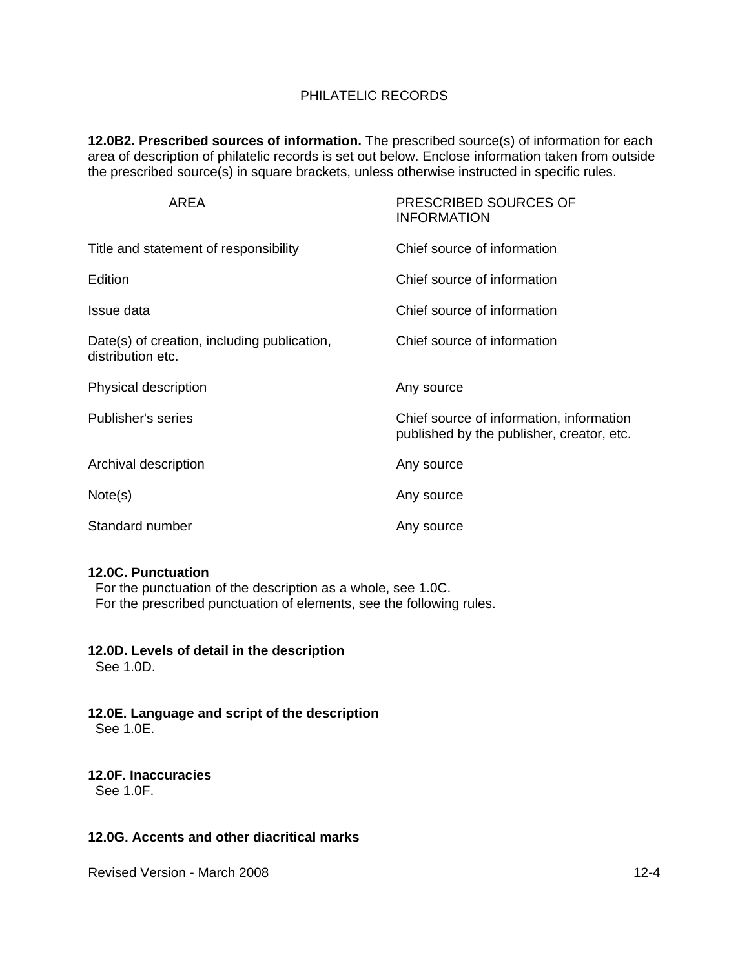**12.0B2. Prescribed sources of information.** The prescribed source(s) of information for each area of description of philatelic records is set out below. Enclose information taken from outside the prescribed source(s) in square brackets, unless otherwise instructed in specific rules.

| AREA                                                             | PRESCRIBED SOURCES OF<br><b>INFORMATION</b>                                           |
|------------------------------------------------------------------|---------------------------------------------------------------------------------------|
| Title and statement of responsibility                            | Chief source of information                                                           |
| Edition                                                          | Chief source of information                                                           |
| Issue data                                                       | Chief source of information                                                           |
| Date(s) of creation, including publication,<br>distribution etc. | Chief source of information                                                           |
| Physical description                                             | Any source                                                                            |
| Publisher's series                                               | Chief source of information, information<br>published by the publisher, creator, etc. |
| Archival description                                             | Any source                                                                            |
| Note(s)                                                          | Any source                                                                            |
| Standard number                                                  | Any source                                                                            |

#### **12.0C. Punctuation**

 For the punctuation of the description as a whole, see 1.0C. For the prescribed punctuation of elements, see the following rules.

#### **12.0D. Levels of detail in the description**

See 1.0D.

**12.0E. Language and script of the description** See 1.0E.

# **12.0F. Inaccuracies**

See 1.0F.

#### **12.0G. Accents and other diacritical marks**

Revised Version - March 2008 12-4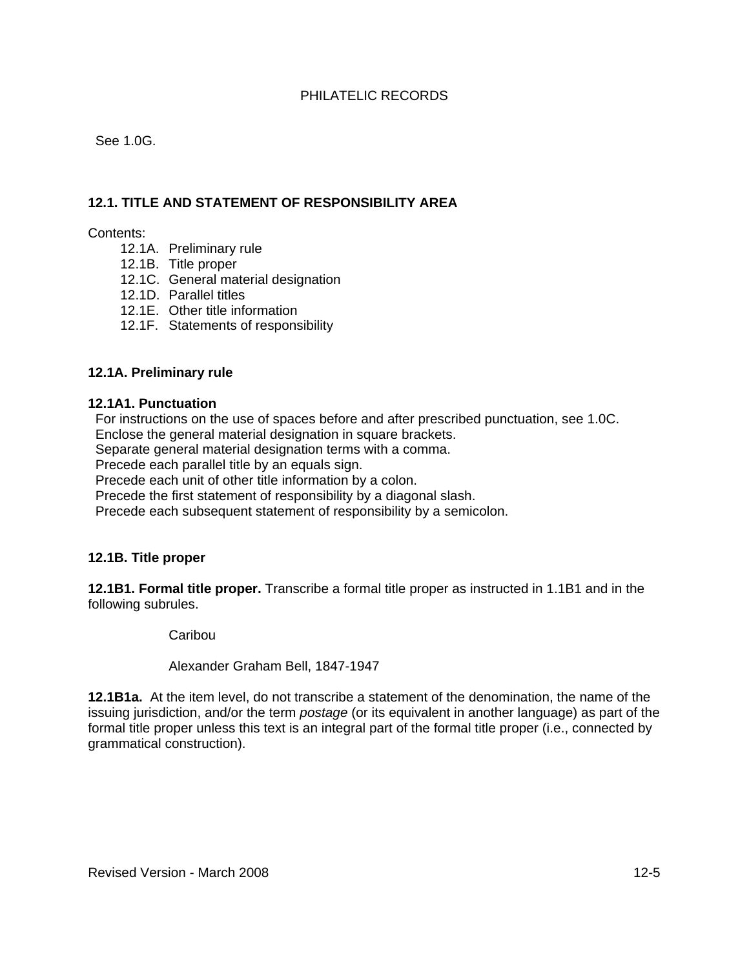See 1.0G.

## **12.1. TITLE AND STATEMENT OF RESPONSIBILITY AREA**

Contents:

- 12.1A. Preliminary rule
- 12.1B. Title proper
- 12.1C. General material designation
- 12.1D. Parallel titles
- 12.1E. Other title information
- 12.1F. Statements of responsibility

#### **12.1A. Preliminary rule**

#### **12.1A1. Punctuation**

 For instructions on the use of spaces before and after prescribed punctuation, see 1.0C. Enclose the general material designation in square brackets.

Separate general material designation terms with a comma.

Precede each parallel title by an equals sign.

Precede each unit of other title information by a colon.

Precede the first statement of responsibility by a diagonal slash.

Precede each subsequent statement of responsibility by a semicolon.

## **12.1B. Title proper**

**12.1B1. Formal title proper.** Transcribe a formal title proper as instructed in 1.1B1 and in the following subrules.

Caribou

Alexander Graham Bell, 1847-1947

**12.1B1a.** At the item level, do not transcribe a statement of the denomination, the name of the issuing jurisdiction, and/or the term *postage* (or its equivalent in another language) as part of the formal title proper unless this text is an integral part of the formal title proper (i.e., connected by grammatical construction).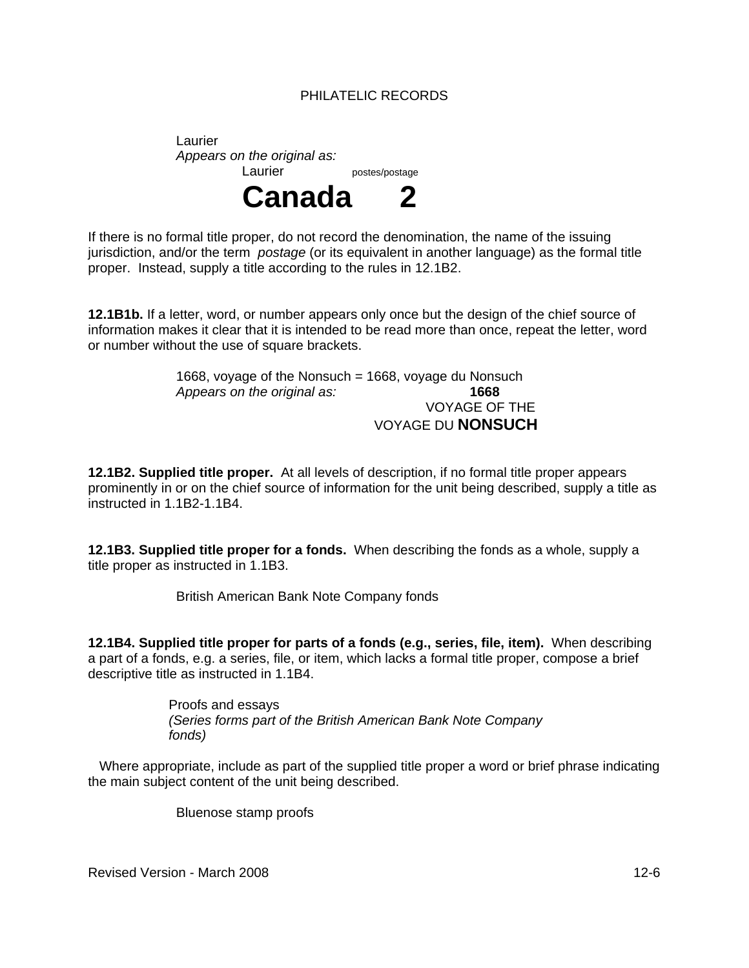Laurier *Appears on the original as:*  Laurier postes/postage



If there is no formal title proper, do not record the denomination, the name of the issuing jurisdiction, and/or the term *postage* (or its equivalent in another language) as the formal title proper. Instead, supply a title according to the rules in 12.1B2.

**12.1B1b.** If a letter, word, or number appears only once but the design of the chief source of information makes it clear that it is intended to be read more than once, repeat the letter, word or number without the use of square brackets.

> 1668, voyage of the Nonsuch = 1668, voyage du Nonsuch *Appears on the original as:* **1668** VOYAGE OF THE VOYAGE DU **NONSUCH**

**12.1B2. Supplied title proper.** At all levels of description, if no formal title proper appears prominently in or on the chief source of information for the unit being described, supply a title as instructed in 1.1B2-1.1B4.

**12.1B3. Supplied title proper for a fonds.** When describing the fonds as a whole, supply a title proper as instructed in 1.1B3.

British American Bank Note Company fonds

**12.1B4. Supplied title proper for parts of a fonds (e.g., series, file, item).** When describing a part of a fonds, e.g. a series, file, or item, which lacks a formal title proper, compose a brief descriptive title as instructed in 1.1B4.

> Proofs and essays *(Series forms part of the British American Bank Note Company fonds)*

 Where appropriate, include as part of the supplied title proper a word or brief phrase indicating the main subject content of the unit being described.

Bluenose stamp proofs

Revised Version - March 2008 12-6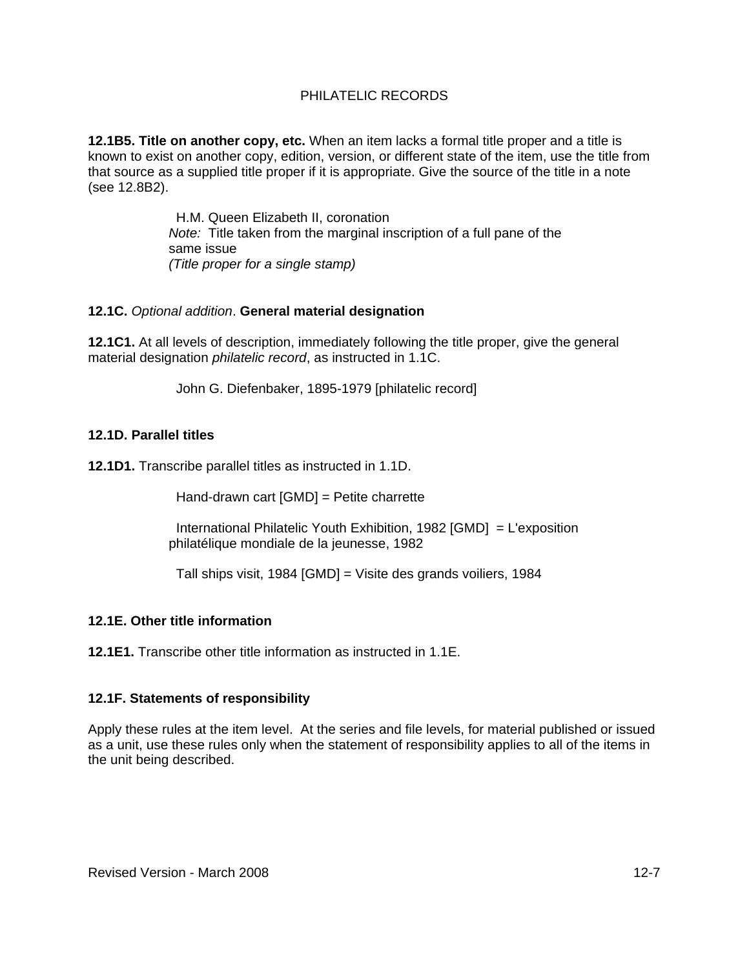**12.1B5. Title on another copy, etc.** When an item lacks a formal title proper and a title is known to exist on another copy, edition, version, or different state of the item, use the title from that source as a supplied title proper if it is appropriate. Give the source of the title in a note (see 12.8B2).

> H.M. Queen Elizabeth II, coronation *Note:* Title taken from the marginal inscription of a full pane of the same issue *(Title proper for a single stamp)*

#### **12.1C.** *Optional addition*. **General material designation**

**12.1C1.** At all levels of description, immediately following the title proper, give the general material designation *philatelic record*, as instructed in 1.1C.

John G. Diefenbaker, 1895-1979 [philatelic record]

## **12.1D. Parallel titles**

**12.1D1.** Transcribe parallel titles as instructed in 1.1D.

Hand-drawn cart [GMD] = Petite charrette

 International Philatelic Youth Exhibition, 1982 [GMD] = L'exposition philatélique mondiale de la jeunesse, 1982

Tall ships visit, 1984 [GMD] = Visite des grands voiliers, 1984

# **12.1E. Other title information**

**12.1E1.** Transcribe other title information as instructed in 1.1E.

# **12.1F. Statements of responsibility**

Apply these rules at the item level. At the series and file levels, for material published or issued as a unit, use these rules only when the statement of responsibility applies to all of the items in the unit being described.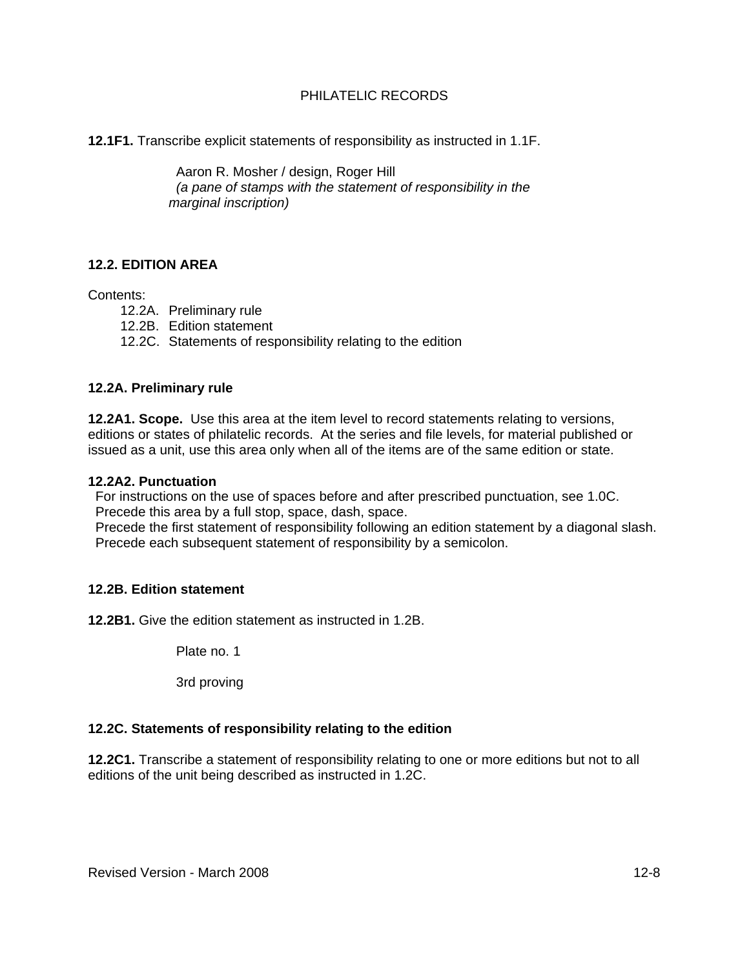**12.1F1.** Transcribe explicit statements of responsibility as instructed in 1.1F.

 Aaron R. Mosher / design, Roger Hill *(a pane of stamps with the statement of responsibility in the marginal inscription)* 

# **12.2. EDITION AREA**

Contents:

- 12.2A. Preliminary rule
- 12.2B. Edition statement
- 12.2C. Statements of responsibility relating to the edition

#### **12.2A. Preliminary rule**

**12.2A1. Scope.** Use this area at the item level to record statements relating to versions, editions or states of philatelic records. At the series and file levels, for material published or issued as a unit, use this area only when all of the items are of the same edition or state.

#### **12.2A2. Punctuation**

 For instructions on the use of spaces before and after prescribed punctuation, see 1.0C. Precede this area by a full stop, space, dash, space.

 Precede the first statement of responsibility following an edition statement by a diagonal slash. Precede each subsequent statement of responsibility by a semicolon.

#### **12.2B. Edition statement**

**12.2B1.** Give the edition statement as instructed in 1.2B.

Plate no. 1

3rd proving

#### **12.2C. Statements of responsibility relating to the edition**

**12.2C1.** Transcribe a statement of responsibility relating to one or more editions but not to all editions of the unit being described as instructed in 1.2C.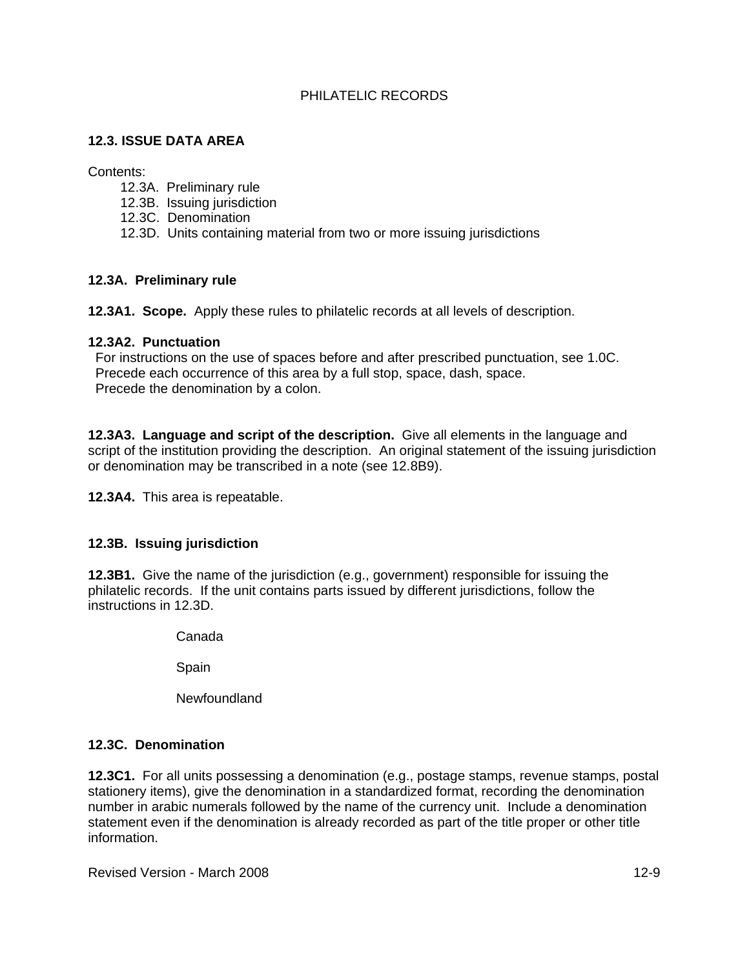# **12.3. ISSUE DATA AREA**

Contents:

- 12.3A. Preliminary rule
- 12.3B. Issuing jurisdiction
- 12.3C. Denomination
- 12.3D. Units containing material from two or more issuing jurisdictions

# **12.3A. Preliminary rule**

**12.3A1. Scope.** Apply these rules to philatelic records at all levels of description.

#### **12.3A2. Punctuation**

 For instructions on the use of spaces before and after prescribed punctuation, see 1.0C. Precede each occurrence of this area by a full stop, space, dash, space. Precede the denomination by a colon.

**12.3A3. Language and script of the description.** Give all elements in the language and script of the institution providing the description. An original statement of the issuing jurisdiction or denomination may be transcribed in a note (see 12.8B9).

**12.3A4.** This area is repeatable.

# **12.3B. Issuing jurisdiction**

**12.3B1.** Give the name of the jurisdiction (e.g., government) responsible for issuing the philatelic records. If the unit contains parts issued by different jurisdictions, follow the instructions in 12.3D.

Canada

Spain

Newfoundland

# **12.3C. Denomination**

**12.3C1.** For all units possessing a denomination (e.g., postage stamps, revenue stamps, postal stationery items), give the denomination in a standardized format, recording the denomination number in arabic numerals followed by the name of the currency unit. Include a denomination statement even if the denomination is already recorded as part of the title proper or other title information.

Revised Version - March 2008 12-9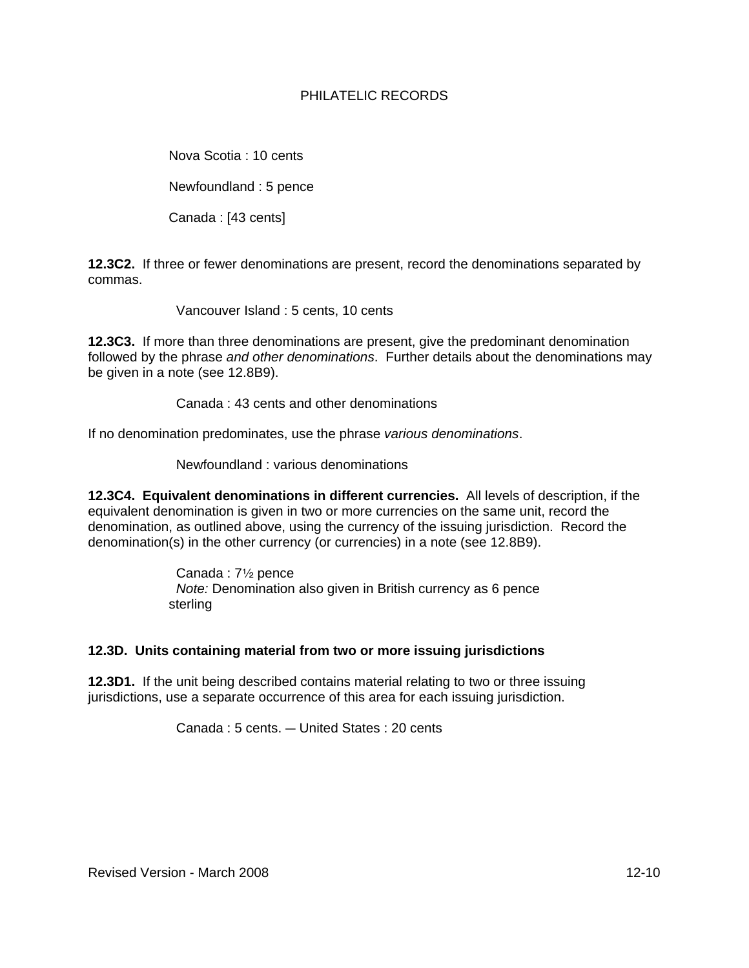Nova Scotia : 10 cents

Newfoundland : 5 pence

Canada : [43 cents]

**12.3C2.** If three or fewer denominations are present, record the denominations separated by commas.

Vancouver Island : 5 cents, 10 cents

**12.3C3.** If more than three denominations are present, give the predominant denomination followed by the phrase *and other denominations*. Further details about the denominations may be given in a note (see 12.8B9).

Canada : 43 cents and other denominations

If no denomination predominates, use the phrase *various denominations*.

Newfoundland : various denominations

**12.3C4. Equivalent denominations in different currencies.** All levels of description, if the equivalent denomination is given in two or more currencies on the same unit, record the denomination, as outlined above, using the currency of the issuing jurisdiction. Record the denomination(s) in the other currency (or currencies) in a note (see 12.8B9).

> Canada :  $7\frac{1}{2}$  pence *Note:* Denomination also given in British currency as 6 pence sterling

# **12.3D. Units containing material from two or more issuing jurisdictions**

**12.3D1.** If the unit being described contains material relating to two or three issuing jurisdictions, use a separate occurrence of this area for each issuing jurisdiction.

Canada : 5 cents. - United States : 20 cents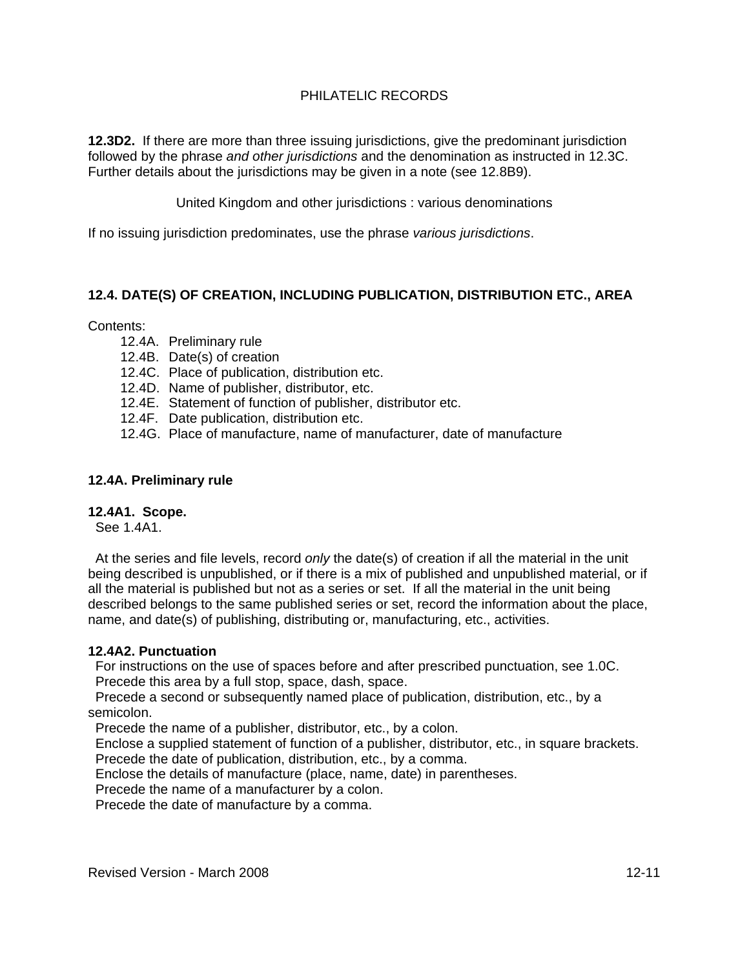**12.3D2.** If there are more than three issuing jurisdictions, give the predominant jurisdiction followed by the phrase *and other jurisdictions* and the denomination as instructed in 12.3C. Further details about the jurisdictions may be given in a note (see 12.8B9).

United Kingdom and other jurisdictions : various denominations

If no issuing jurisdiction predominates, use the phrase *various jurisdictions*.

# **12.4. DATE(S) OF CREATION, INCLUDING PUBLICATION, DISTRIBUTION ETC., AREA**

Contents:

- 12.4A. Preliminary rule
- 12.4B. Date(s) of creation
- 12.4C. Place of publication, distribution etc.
- 12.4D. Name of publisher, distributor, etc.
- 12.4E. Statement of function of publisher, distributor etc.
- 12.4F. Date publication, distribution etc.
- 12.4G. Place of manufacture, name of manufacturer, date of manufacture

## **12.4A. Preliminary rule**

#### **12.4A1. Scope.**

See 1.4A1.

 At the series and file levels, record *only* the date(s) of creation if all the material in the unit being described is unpublished, or if there is a mix of published and unpublished material, or if all the material is published but not as a series or set. If all the material in the unit being described belongs to the same published series or set, record the information about the place, name, and date(s) of publishing, distributing or, manufacturing, etc., activities.

#### **12.4A2. Punctuation**

 For instructions on the use of spaces before and after prescribed punctuation, see 1.0C. Precede this area by a full stop, space, dash, space.

 Precede a second or subsequently named place of publication, distribution, etc., by a semicolon.

Precede the name of a publisher, distributor, etc., by a colon.

 Enclose a supplied statement of function of a publisher, distributor, etc., in square brackets. Precede the date of publication, distribution, etc., by a comma.

Enclose the details of manufacture (place, name, date) in parentheses.

Precede the name of a manufacturer by a colon.

Precede the date of manufacture by a comma.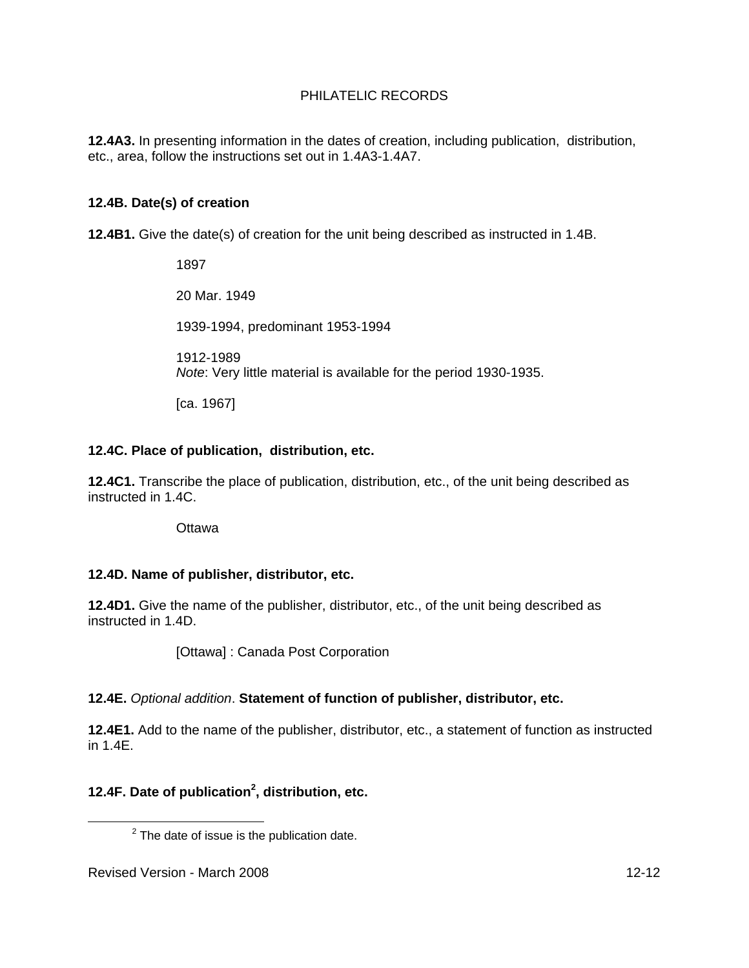**12.4A3.** In presenting information in the dates of creation, including publication, distribution, etc., area, follow the instructions set out in 1.4A3-1.4A7.

# **12.4B. Date(s) of creation**

**12.4B1.** Give the date(s) of creation for the unit being described as instructed in 1.4B.

 1897 20 Mar. 1949 1939-1994, predominant 1953-1994 1912-1989 *Note*: Very little material is available for the period 1930-1935.

[ca. 1967]

## **12.4C. Place of publication, distribution, etc.**

**12.4C1.** Transcribe the place of publication, distribution, etc., of the unit being described as instructed in 1.4C.

**Ottawa** 

# **12.4D. Name of publisher, distributor, etc.**

**12.4D1.** Give the name of the publisher, distributor, etc., of the unit being described as instructed in 1.4D.

[Ottawa] : Canada Post Corporation

# **12.4E.** *Optional addition*. **Statement of function of publisher, distributor, etc.**

**12.4E1.** Add to the name of the publisher, distributor, etc., a statement of function as instructed in 1.4E.

# **12.4F. Date of publication<sup>2</sup> , distribution, etc.**

 $\overline{\phantom{a}}$  2  $2$  The date of issue is the publication date.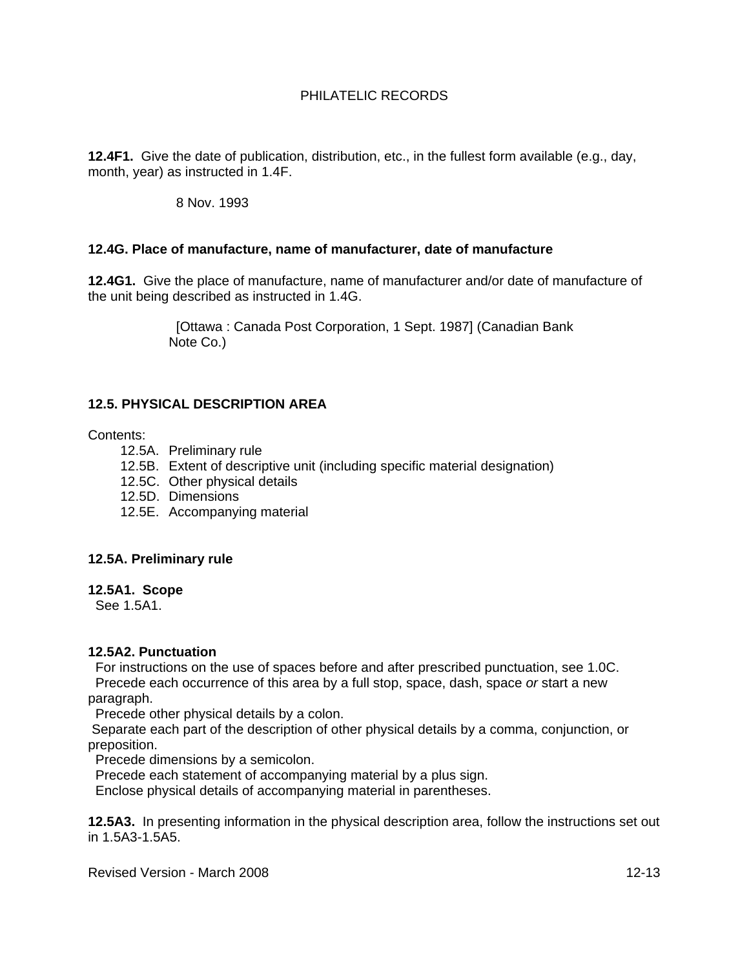**12.4F1.** Give the date of publication, distribution, etc., in the fullest form available (e.g., day, month, year) as instructed in 1.4F.

#### 8 Nov. 1993

#### **12.4G. Place of manufacture, name of manufacturer, date of manufacture**

**12.4G1.** Give the place of manufacture, name of manufacturer and/or date of manufacture of the unit being described as instructed in 1.4G.

> [Ottawa : Canada Post Corporation, 1 Sept. 1987] (Canadian Bank Note Co.)

# **12.5. PHYSICAL DESCRIPTION AREA**

#### Contents:

- 12.5A. Preliminary rule
- 12.5B. Extent of descriptive unit (including specific material designation)
- 12.5C. Other physical details
- 12.5D. Dimensions
- 12.5E. Accompanying material

#### **12.5A. Preliminary rule**

#### **12.5A1. Scope**

See 1.5A1.

#### **12.5A2. Punctuation**

 For instructions on the use of spaces before and after prescribed punctuation, see 1.0C. Precede each occurrence of this area by a full stop, space, dash, space *or* start a new paragraph.

Precede other physical details by a colon.

 Separate each part of the description of other physical details by a comma, conjunction, or preposition.

Precede dimensions by a semicolon.

Precede each statement of accompanying material by a plus sign.

Enclose physical details of accompanying material in parentheses.

**12.5A3.** In presenting information in the physical description area, follow the instructions set out in 1.5A3-1.5A5.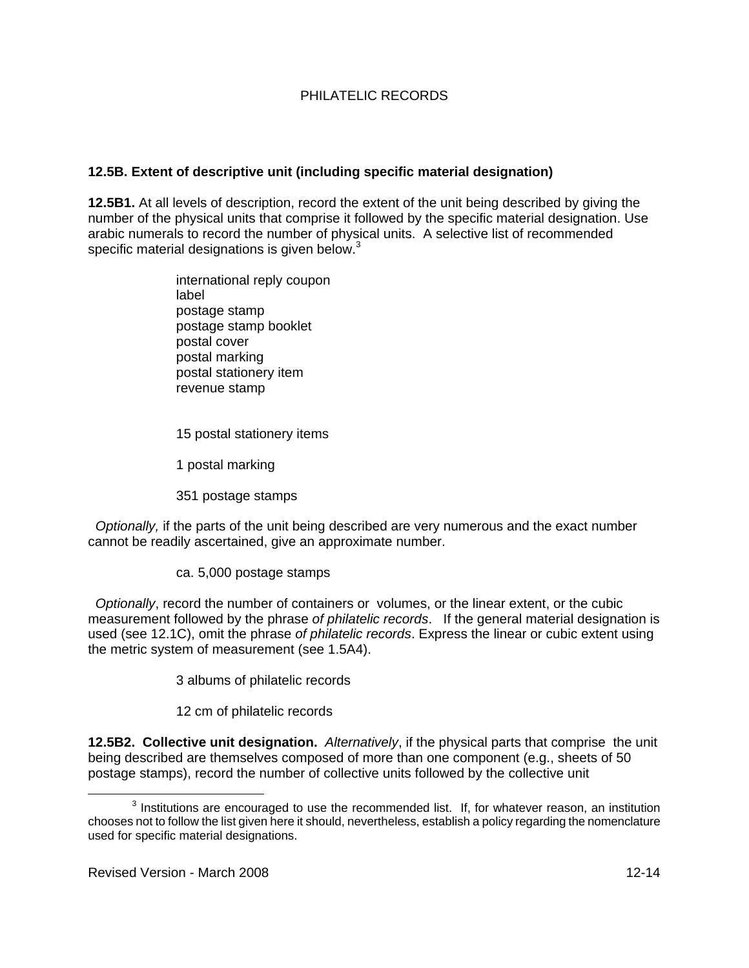# **12.5B. Extent of descriptive unit (including specific material designation)**

**12.5B1.** At all levels of description, record the extent of the unit being described by giving the number of the physical units that comprise it followed by the specific material designation. Use arabic numerals to record the number of physical units. A selective list of recommended specific material designations is given below. $3$ 

> international reply coupon label postage stamp postage stamp booklet postal cover postal marking postal stationery item revenue stamp

15 postal stationery items

1 postal marking

351 postage stamps

 *Optionally,* if the parts of the unit being described are very numerous and the exact number cannot be readily ascertained, give an approximate number.

ca. 5,000 postage stamps

 *Optionally*, record the number of containers or volumes, or the linear extent, or the cubic measurement followed by the phrase *of philatelic records*. If the general material designation is used (see 12.1C), omit the phrase *of philatelic records*. Express the linear or cubic extent using the metric system of measurement (see 1.5A4).

3 albums of philatelic records

12 cm of philatelic records

**12.5B2. Collective unit designation.** *Alternatively*, if the physical parts that comprise the unit being described are themselves composed of more than one component (e.g., sheets of 50 postage stamps), record the number of collective units followed by the collective unit

 $\frac{1}{3}$  $3$  Institutions are encouraged to use the recommended list. If, for whatever reason, an institution chooses not to follow the list given here it should, nevertheless, establish a policy regarding the nomenclature used for specific material designations.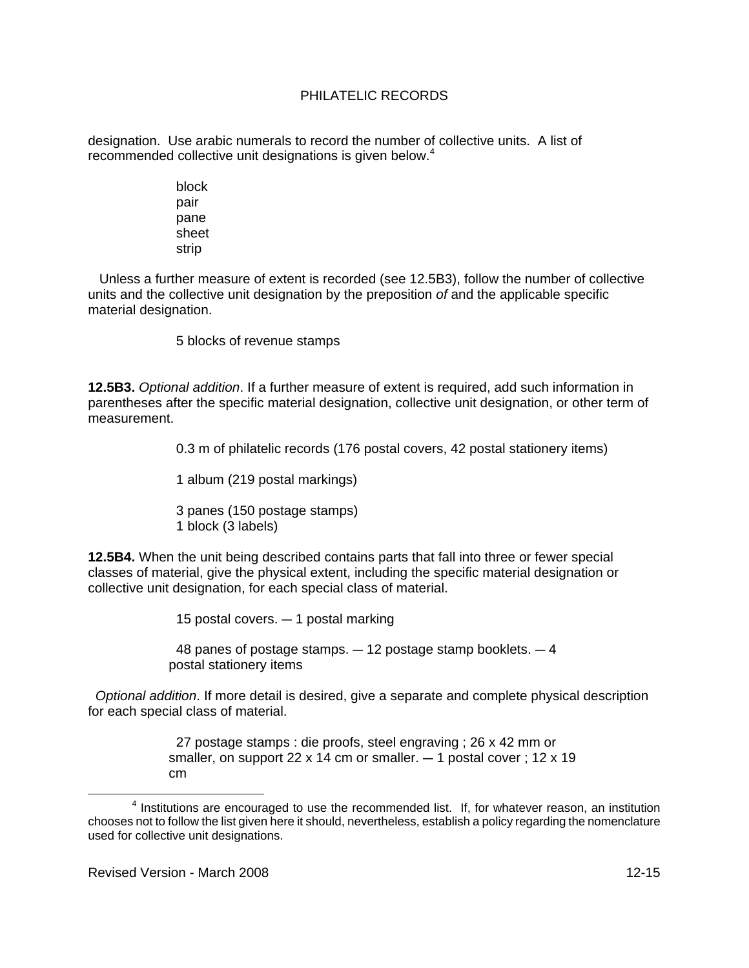designation. Use arabic numerals to record the number of collective units. A list of recommended collective unit designations is given below.<sup>4</sup>

> block pair pane sheet strip

 Unless a further measure of extent is recorded (see 12.5B3), follow the number of collective units and the collective unit designation by the preposition *of* and the applicable specific material designation.

5 blocks of revenue stamps

**12.5B3.** *Optional addition*. If a further measure of extent is required, add such information in parentheses after the specific material designation, collective unit designation, or other term of measurement.

0.3 m of philatelic records (176 postal covers, 42 postal stationery items)

1 album (219 postal markings)

 3 panes (150 postage stamps) 1 block (3 labels)

**12.5B4.** When the unit being described contains parts that fall into three or fewer special classes of material, give the physical extent, including the specific material designation or collective unit designation, for each special class of material.

15 postal covers.  $-$  1 postal marking

48 panes of postage stamps.  $-12$  postage stamp booklets.  $-4$ postal stationery items

 *Optional addition*. If more detail is desired, give a separate and complete physical description for each special class of material.

> 27 postage stamps : die proofs, steel engraving ; 26 x 42 mm or smaller, on support 22 x 14 cm or smaller.  $-$  1 postal cover ; 12 x 19 cm

 $\overline{4}$  $<sup>4</sup>$  Institutions are encouraged to use the recommended list. If, for whatever reason, an institution</sup> chooses not to follow the list given here it should, nevertheless, establish a policy regarding the nomenclature used for collective unit designations.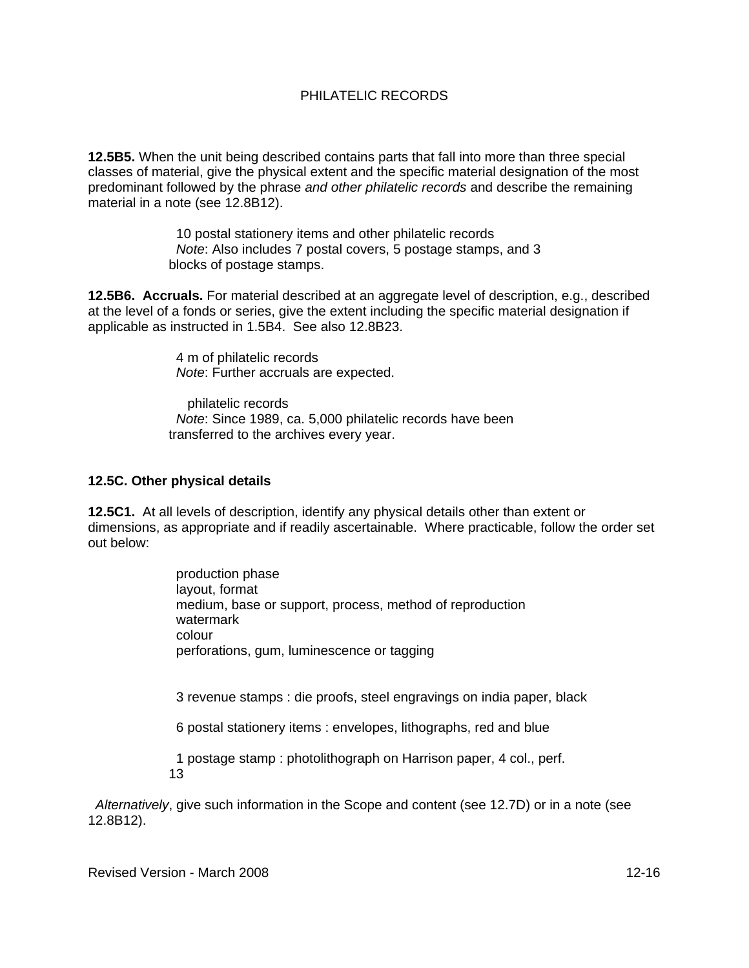**12.5B5.** When the unit being described contains parts that fall into more than three special classes of material, give the physical extent and the specific material designation of the most predominant followed by the phrase *and other philatelic records* and describe the remaining material in a note (see 12.8B12).

> 10 postal stationery items and other philatelic records *Note*: Also includes 7 postal covers, 5 postage stamps, and 3 blocks of postage stamps.

**12.5B6. Accruals.** For material described at an aggregate level of description, e.g., described at the level of a fonds or series, give the extent including the specific material designation if applicable as instructed in 1.5B4. See also 12.8B23.

> 4 m of philatelic records *Note*: Further accruals are expected.

 philatelic records *Note*: Since 1989, ca. 5,000 philatelic records have been transferred to the archives every year.

## **12.5C. Other physical details**

**12.5C1.** At all levels of description, identify any physical details other than extent or dimensions, as appropriate and if readily ascertainable. Where practicable, follow the order set out below:

> production phase layout, format medium, base or support, process, method of reproduction watermark colour perforations, gum, luminescence or tagging

3 revenue stamps : die proofs, steel engravings on india paper, black

6 postal stationery items : envelopes, lithographs, red and blue

 1 postage stamp : photolithograph on Harrison paper, 4 col., perf. 13

 *Alternatively*, give such information in the Scope and content (see 12.7D) or in a note (see 12.8B12).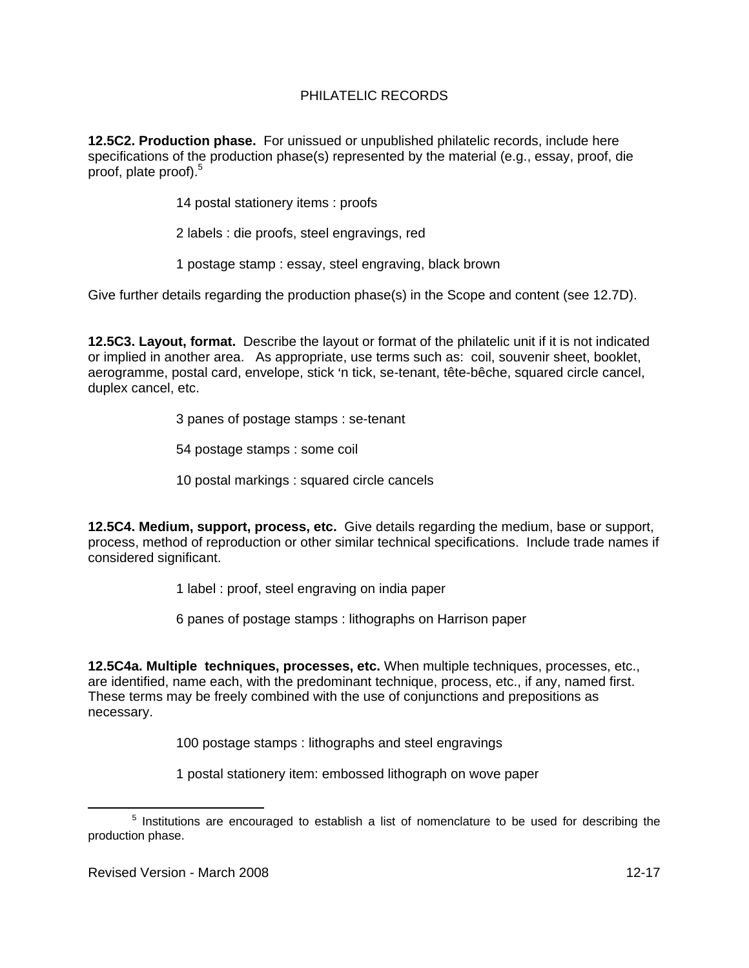**12.5C2. Production phase.** For unissued or unpublished philatelic records, include here specifications of the production phase(s) represented by the material (e.g., essay, proof, die proof, plate proof).<sup>5</sup>

14 postal stationery items : proofs

- 2 labels : die proofs, steel engravings, red
- 1 postage stamp : essay, steel engraving, black brown

Give further details regarding the production phase(s) in the Scope and content (see 12.7D).

**12.5C3. Layout, format.** Describe the layout or format of the philatelic unit if it is not indicated or implied in another area. As appropriate, use terms such as: coil, souvenir sheet, booklet, aerogramme, postal card, envelope, stick 'n tick, se-tenant, tête-bêche, squared circle cancel, duplex cancel, etc.

3 panes of postage stamps : se-tenant

54 postage stamps : some coil

10 postal markings : squared circle cancels

**12.5C4. Medium, support, process, etc.** Give details regarding the medium, base or support, process, method of reproduction or other similar technical specifications. Include trade names if considered significant.

1 label : proof, steel engraving on india paper

6 panes of postage stamps : lithographs on Harrison paper

**12.5C4a. Multiple techniques, processes, etc.** When multiple techniques, processes, etc., are identified, name each, with the predominant technique, process, etc., if any, named first. These terms may be freely combined with the use of conjunctions and prepositions as necessary.

100 postage stamps : lithographs and steel engravings

1 postal stationery item: embossed lithograph on wove paper

 $\frac{1}{5}$  $5$  Institutions are encouraged to establish a list of nomenclature to be used for describing the production phase.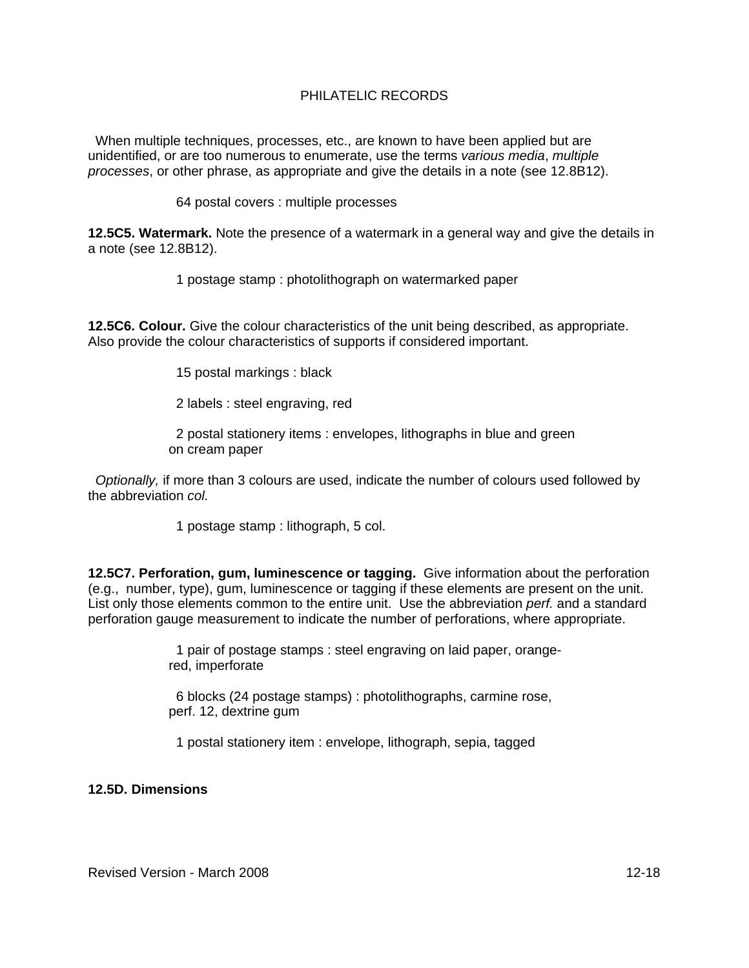When multiple techniques, processes, etc., are known to have been applied but are unidentified, or are too numerous to enumerate, use the terms *various media*, *multiple processes*, or other phrase, as appropriate and give the details in a note (see 12.8B12).

64 postal covers : multiple processes

**12.5C5. Watermark.** Note the presence of a watermark in a general way and give the details in a note (see 12.8B12).

1 postage stamp : photolithograph on watermarked paper

**12.5C6. Colour.** Give the colour characteristics of the unit being described, as appropriate. Also provide the colour characteristics of supports if considered important.

15 postal markings : black

2 labels : steel engraving, red

 2 postal stationery items : envelopes, lithographs in blue and green on cream paper

 *Optionally,* if more than 3 colours are used, indicate the number of colours used followed by the abbreviation *col.*

1 postage stamp : lithograph, 5 col.

**12.5C7. Perforation, gum, luminescence or tagging.** Give information about the perforation (e.g., number, type), gum, luminescence or tagging if these elements are present on the unit. List only those elements common to the entire unit. Use the abbreviation *perf.* and a standard perforation gauge measurement to indicate the number of perforations, where appropriate.

> 1 pair of postage stamps : steel engraving on laid paper, orangered, imperforate

 6 blocks (24 postage stamps) : photolithographs, carmine rose, perf. 12, dextrine gum

1 postal stationery item : envelope, lithograph, sepia, tagged

**12.5D. Dimensions**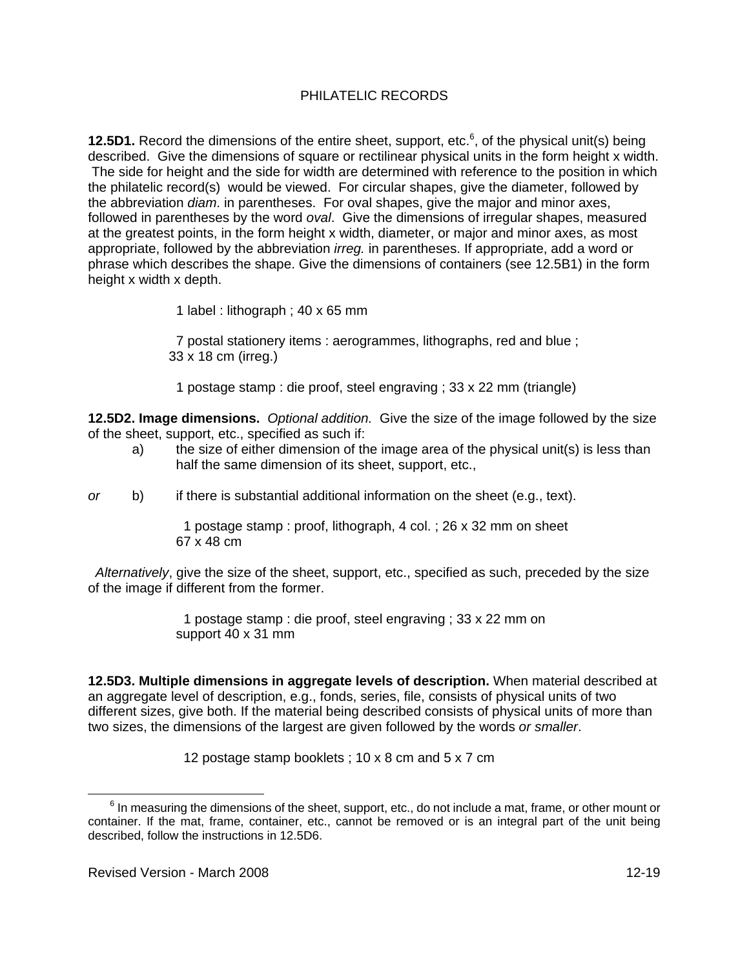**12.5D1.** Record the dimensions of the entire sheet, support, etc.<sup>6</sup>, of the physical unit(s) being described. Give the dimensions of square or rectilinear physical units in the form height x width. The side for height and the side for width are determined with reference to the position in which the philatelic record(s) would be viewed. For circular shapes, give the diameter, followed by the abbreviation *diam*. in parentheses. For oval shapes, give the major and minor axes, followed in parentheses by the word *oval*. Give the dimensions of irregular shapes, measured at the greatest points, in the form height x width, diameter, or major and minor axes, as most appropriate, followed by the abbreviation *irreg.* in parentheses. If appropriate, add a word or phrase which describes the shape. Give the dimensions of containers (see 12.5B1) in the form height x width x depth.

1 label : lithograph ; 40 x 65 mm

 7 postal stationery items : aerogrammes, lithographs, red and blue ; 33 x 18 cm (irreg.)

1 postage stamp : die proof, steel engraving ; 33 x 22 mm (triangle)

**12.5D2. Image dimensions.** *Optional addition.* Give the size of the image followed by the size of the sheet, support, etc., specified as such if:

- a) the size of either dimension of the image area of the physical unit(s) is less than half the same dimension of its sheet, support, etc.,
- *or* b) if there is substantial additional information on the sheet (e.g., text).

 1 postage stamp : proof, lithograph, 4 col. ; 26 x 32 mm on sheet 67 x 48 cm

 *Alternatively*, give the size of the sheet, support, etc., specified as such, preceded by the size of the image if different from the former.

> 1 postage stamp : die proof, steel engraving ; 33 x 22 mm on support 40 x 31 mm

**12.5D3. Multiple dimensions in aggregate levels of description.** When material described at an aggregate level of description, e.g., fonds, series, file, consists of physical units of two different sizes, give both. If the material being described consists of physical units of more than two sizes, the dimensions of the largest are given followed by the words *or smaller*.

12 postage stamp booklets ; 10 x 8 cm and 5 x 7 cm

 $\overline{6}$  $6$  In measuring the dimensions of the sheet, support, etc., do not include a mat, frame, or other mount or container. If the mat, frame, container, etc., cannot be removed or is an integral part of the unit being described, follow the instructions in 12.5D6.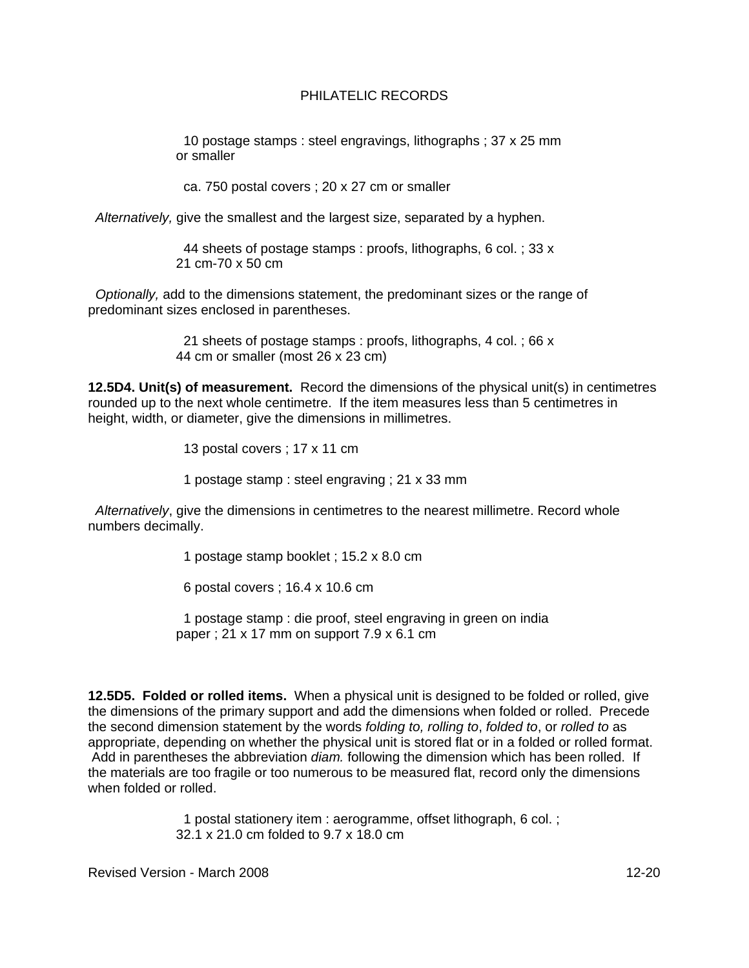10 postage stamps : steel engravings, lithographs ; 37 x 25 mm or smaller

ca. 750 postal covers ; 20 x 27 cm or smaller

 *Alternatively,* give the smallest and the largest size, separated by a hyphen.

 44 sheets of postage stamps : proofs, lithographs, 6 col. ; 33 x 21 cm-70 x 50 cm

 *Optionally,* add to the dimensions statement, the predominant sizes or the range of predominant sizes enclosed in parentheses.

> 21 sheets of postage stamps : proofs, lithographs, 4 col. ; 66 x 44 cm or smaller (most 26 x 23 cm)

**12.5D4. Unit(s) of measurement.** Record the dimensions of the physical unit(s) in centimetres rounded up to the next whole centimetre. If the item measures less than 5 centimetres in height, width, or diameter, give the dimensions in millimetres.

13 postal covers ; 17 x 11 cm

1 postage stamp : steel engraving ; 21 x 33 mm

 *Alternatively*, give the dimensions in centimetres to the nearest millimetre. Record whole numbers decimally.

1 postage stamp booklet ; 15.2 x 8.0 cm

6 postal covers ; 16.4 x 10.6 cm

 1 postage stamp : die proof, steel engraving in green on india paper ; 21 x 17 mm on support 7.9 x 6.1 cm

**12.5D5. Folded or rolled items.** When a physical unit is designed to be folded or rolled, give the dimensions of the primary support and add the dimensions when folded or rolled. Precede the second dimension statement by the words *folding to, rolling to*, *folded to*, or *rolled to* as appropriate, depending on whether the physical unit is stored flat or in a folded or rolled format. Add in parentheses the abbreviation *diam.* following the dimension which has been rolled. If the materials are too fragile or too numerous to be measured flat, record only the dimensions when folded or rolled.

> 1 postal stationery item : aerogramme, offset lithograph, 6 col. ; 32.1 x 21.0 cm folded to 9.7 x 18.0 cm

Revised Version - March 2008 12-20 12:00 12:00 12:00 12:00 12:00 12:00 12:00 12:00 12:00 12:00 12:00 12:00 12:0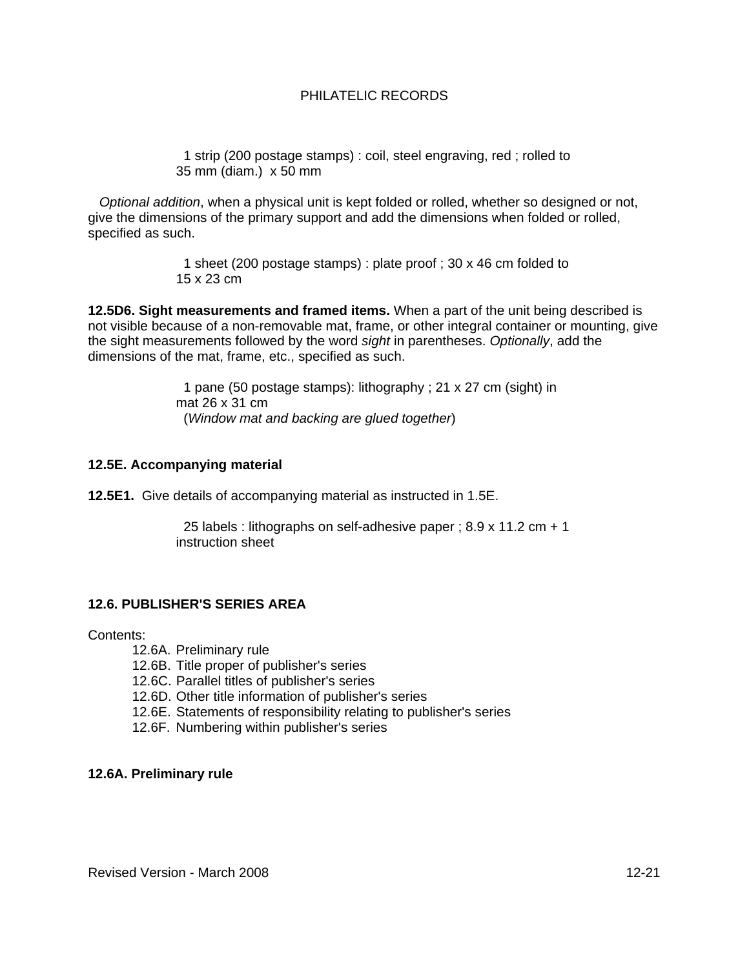1 strip (200 postage stamps) : coil, steel engraving, red ; rolled to 35 mm (diam.) x 50 mm

 *Optional addition*, when a physical unit is kept folded or rolled, whether so designed or not, give the dimensions of the primary support and add the dimensions when folded or rolled, specified as such.

> 1 sheet (200 postage stamps) : plate proof ; 30 x 46 cm folded to 15 x 23 cm

**12.5D6. Sight measurements and framed items.** When a part of the unit being described is not visible because of a non-removable mat, frame, or other integral container or mounting, give the sight measurements followed by the word *sight* in parentheses. *Optionally*, add the dimensions of the mat, frame, etc., specified as such.

> 1 pane (50 postage stamps): lithography ; 21 x 27 cm (sight) in mat 26 x 31 cm (*Window mat and backing are glued together*)

#### **12.5E. Accompanying material**

**12.5E1.** Give details of accompanying material as instructed in 1.5E.

 25 labels : lithographs on self-adhesive paper ; 8.9 x 11.2 cm + 1 instruction sheet

#### **12.6. PUBLISHER'S SERIES AREA**

Contents:

- 12.6A. Preliminary rule
- 12.6B. Title proper of publisher's series
- 12.6C. Parallel titles of publisher's series
- 12.6D. Other title information of publisher's series
- 12.6E. Statements of responsibility relating to publisher's series
- 12.6F. Numbering within publisher's series

#### **12.6A. Preliminary rule**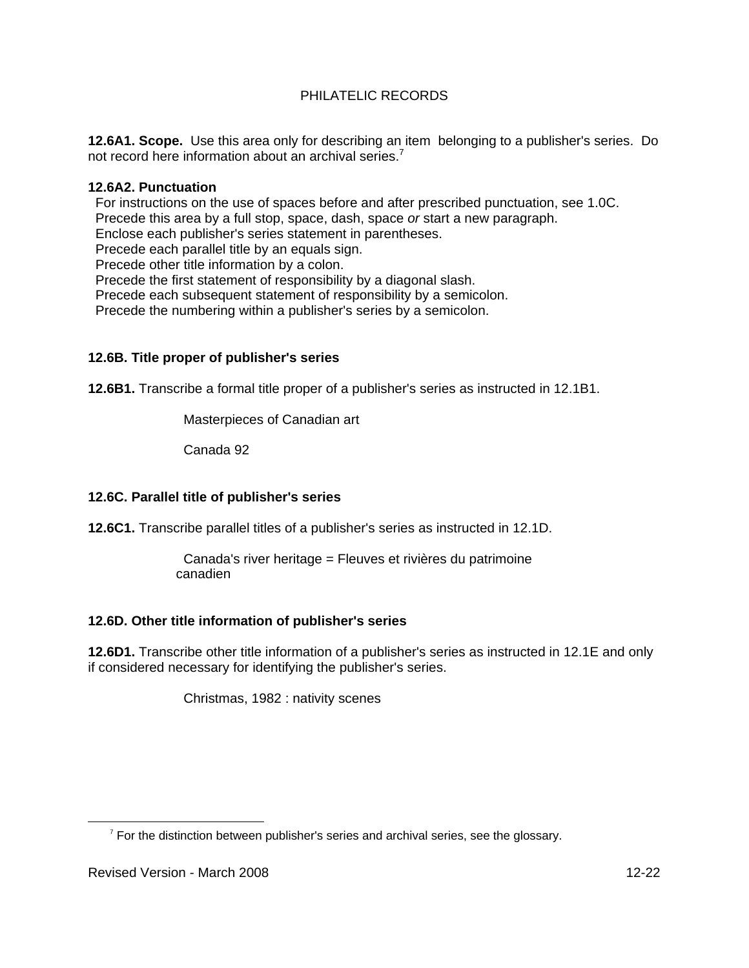**12.6A1. Scope.** Use this area only for describing an item belonging to a publisher's series. Do not record here information about an archival series.<sup>7</sup>

## **12.6A2. Punctuation**

 For instructions on the use of spaces before and after prescribed punctuation, see 1.0C. Precede this area by a full stop, space, dash, space *or* start a new paragraph. Enclose each publisher's series statement in parentheses. Precede each parallel title by an equals sign. Precede other title information by a colon. Precede the first statement of responsibility by a diagonal slash. Precede each subsequent statement of responsibility by a semicolon. Precede the numbering within a publisher's series by a semicolon.

## **12.6B. Title proper of publisher's series**

**12.6B1.** Transcribe a formal title proper of a publisher's series as instructed in 12.1B1.

Masterpieces of Canadian art

Canada 92

# **12.6C. Parallel title of publisher's series**

**12.6C1.** Transcribe parallel titles of a publisher's series as instructed in 12.1D.

 Canada's river heritage = Fleuves et rivières du patrimoine canadien

# **12.6D. Other title information of publisher's series**

**12.6D1.** Transcribe other title information of a publisher's series as instructed in 12.1E and only if considered necessary for identifying the publisher's series.

Christmas, 1982 : nativity scenes

 $\overline{7}$  $\frac{7}{1}$  For the distinction between publisher's series and archival series, see the glossary.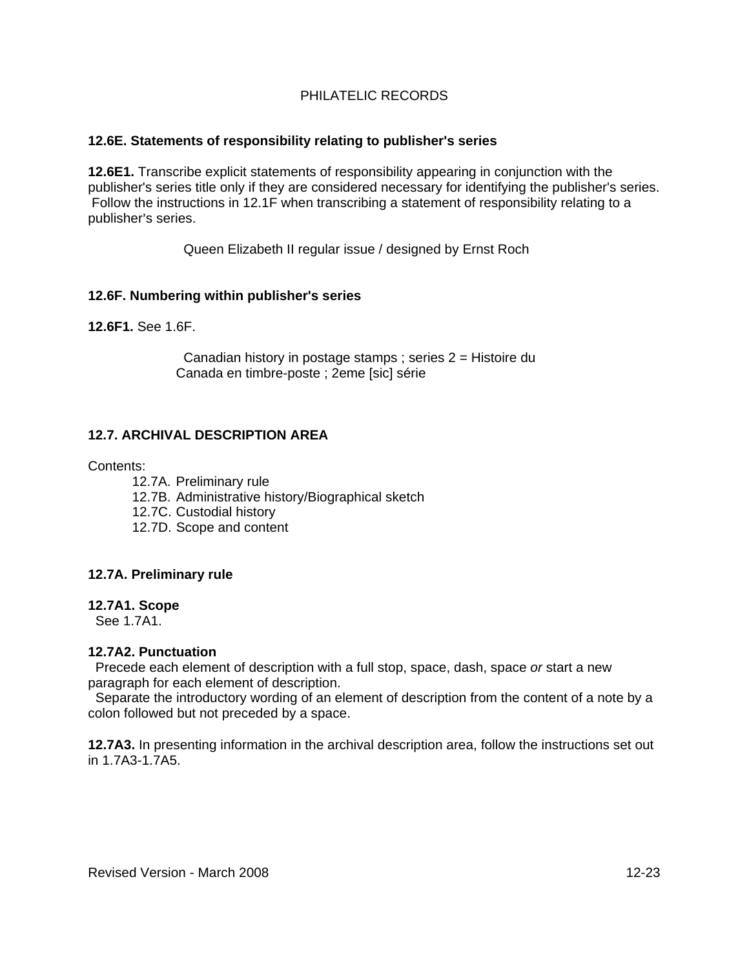## **12.6E. Statements of responsibility relating to publisher's series**

**12.6E1.** Transcribe explicit statements of responsibility appearing in conjunction with the publisher's series title only if they are considered necessary for identifying the publisher's series. Follow the instructions in 12.1F when transcribing a statement of responsibility relating to a publisher's series.

Queen Elizabeth II regular issue / designed by Ernst Roch

## **12.6F. Numbering within publisher's series**

**12.6F1.** See 1.6F.

 Canadian history in postage stamps ; series 2 = Histoire du Canada en timbre-poste ; 2eme [sic] série

# **12.7. ARCHIVAL DESCRIPTION AREA**

## Contents:

- 12.7A. Preliminary rule
- 12.7B. Administrative history/Biographical sketch
- 12.7C. Custodial history
- 12.7D. Scope and content

#### **12.7A. Preliminary rule**

#### **12.7A1. Scope**

See 1.7A1.

## **12.7A2. Punctuation**

 Precede each element of description with a full stop, space, dash, space *or* start a new paragraph for each element of description.

 Separate the introductory wording of an element of description from the content of a note by a colon followed but not preceded by a space.

**12.7A3.** In presenting information in the archival description area, follow the instructions set out in 1.7A3-1.7A5.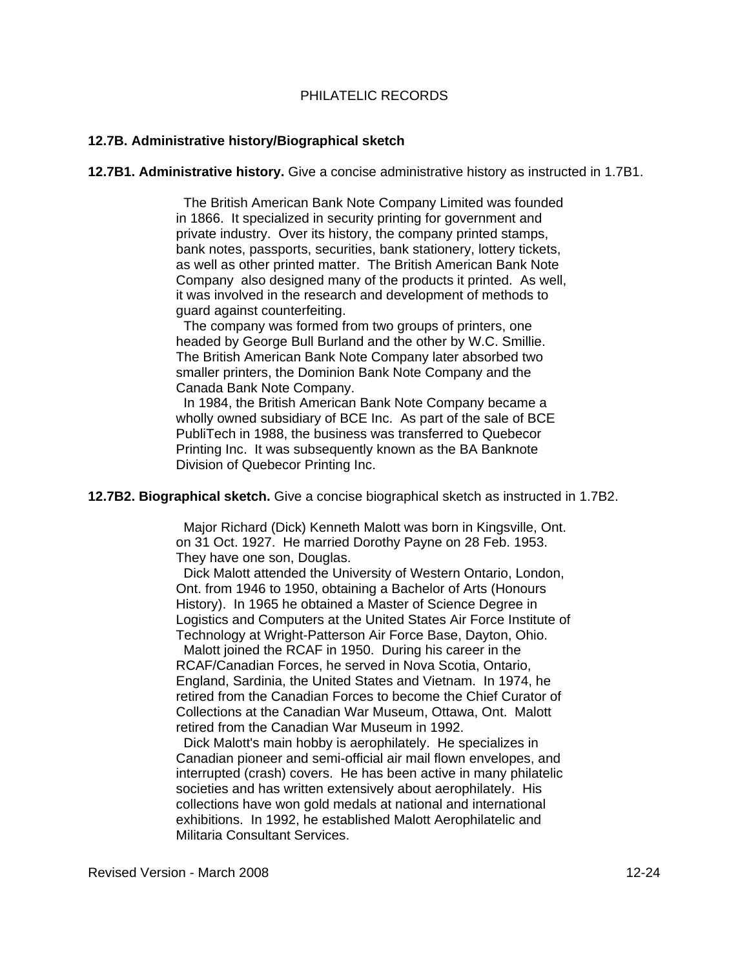## **12.7B. Administrative history/Biographical sketch**

**12.7B1. Administrative history.** Give a concise administrative history as instructed in 1.7B1.

 The British American Bank Note Company Limited was founded in 1866. It specialized in security printing for government and private industry. Over its history, the company printed stamps, bank notes, passports, securities, bank stationery, lottery tickets, as well as other printed matter. The British American Bank Note Company also designed many of the products it printed. As well, it was involved in the research and development of methods to guard against counterfeiting.

 The company was formed from two groups of printers, one headed by George Bull Burland and the other by W.C. Smillie. The British American Bank Note Company later absorbed two smaller printers, the Dominion Bank Note Company and the Canada Bank Note Company.

 In 1984, the British American Bank Note Company became a wholly owned subsidiary of BCE Inc. As part of the sale of BCE PubliTech in 1988, the business was transferred to Quebecor Printing Inc. It was subsequently known as the BA Banknote Division of Quebecor Printing Inc.

**12.7B2. Biographical sketch.** Give a concise biographical sketch as instructed in 1.7B2.

 Major Richard (Dick) Kenneth Malott was born in Kingsville, Ont. on 31 Oct. 1927. He married Dorothy Payne on 28 Feb. 1953. They have one son, Douglas.

 Dick Malott attended the University of Western Ontario, London, Ont. from 1946 to 1950, obtaining a Bachelor of Arts (Honours History). In 1965 he obtained a Master of Science Degree in Logistics and Computers at the United States Air Force Institute of Technology at Wright-Patterson Air Force Base, Dayton, Ohio.

 Malott joined the RCAF in 1950. During his career in the RCAF/Canadian Forces, he served in Nova Scotia, Ontario, England, Sardinia, the United States and Vietnam. In 1974, he retired from the Canadian Forces to become the Chief Curator of Collections at the Canadian War Museum, Ottawa, Ont. Malott retired from the Canadian War Museum in 1992.

 Dick Malott's main hobby is aerophilately. He specializes in Canadian pioneer and semi-official air mail flown envelopes, and interrupted (crash) covers. He has been active in many philatelic societies and has written extensively about aerophilately. His collections have won gold medals at national and international exhibitions. In 1992, he established Malott Aerophilatelic and Militaria Consultant Services.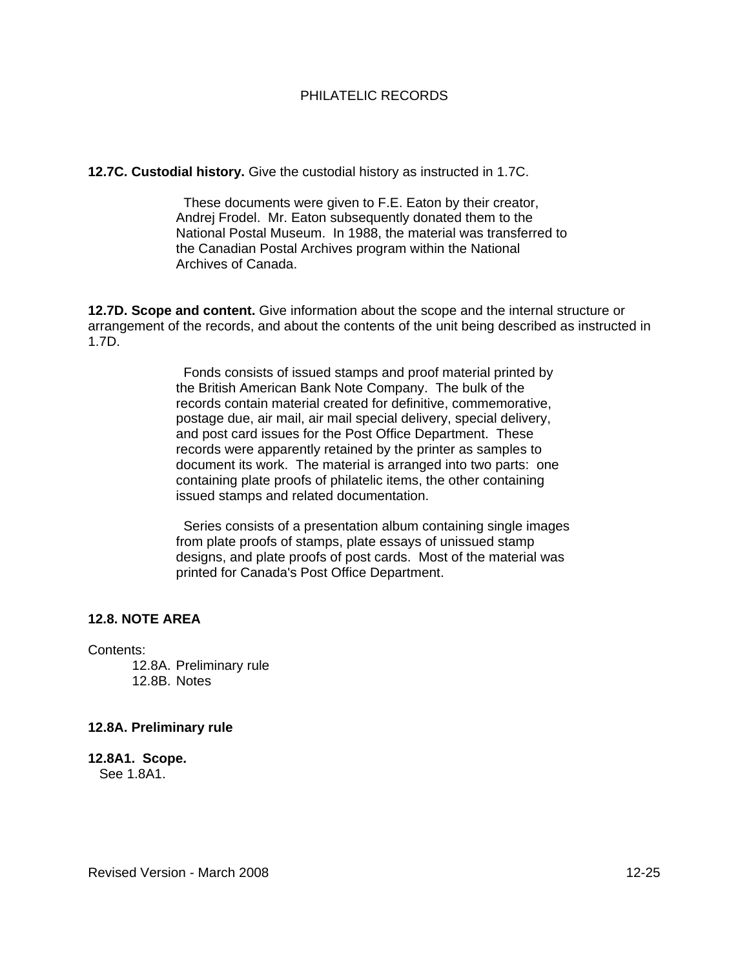#### **12.7C. Custodial history.** Give the custodial history as instructed in 1.7C.

 These documents were given to F.E. Eaton by their creator, Andrej Frodel. Mr. Eaton subsequently donated them to the National Postal Museum. In 1988, the material was transferred to the Canadian Postal Archives program within the National Archives of Canada.

**12.7D. Scope and content.** Give information about the scope and the internal structure or arrangement of the records, and about the contents of the unit being described as instructed in 1.7D.

> Fonds consists of issued stamps and proof material printed by the British American Bank Note Company. The bulk of the records contain material created for definitive, commemorative, postage due, air mail, air mail special delivery, special delivery, and post card issues for the Post Office Department. These records were apparently retained by the printer as samples to document its work. The material is arranged into two parts: one containing plate proofs of philatelic items, the other containing issued stamps and related documentation.

 Series consists of a presentation album containing single images from plate proofs of stamps, plate essays of unissued stamp designs, and plate proofs of post cards. Most of the material was printed for Canada's Post Office Department.

## **12.8. NOTE AREA**

Contents:

12.8A. Preliminary rule 12.8B. Notes

#### **12.8A. Preliminary rule**

**12.8A1. Scope.**  See 1.8A1.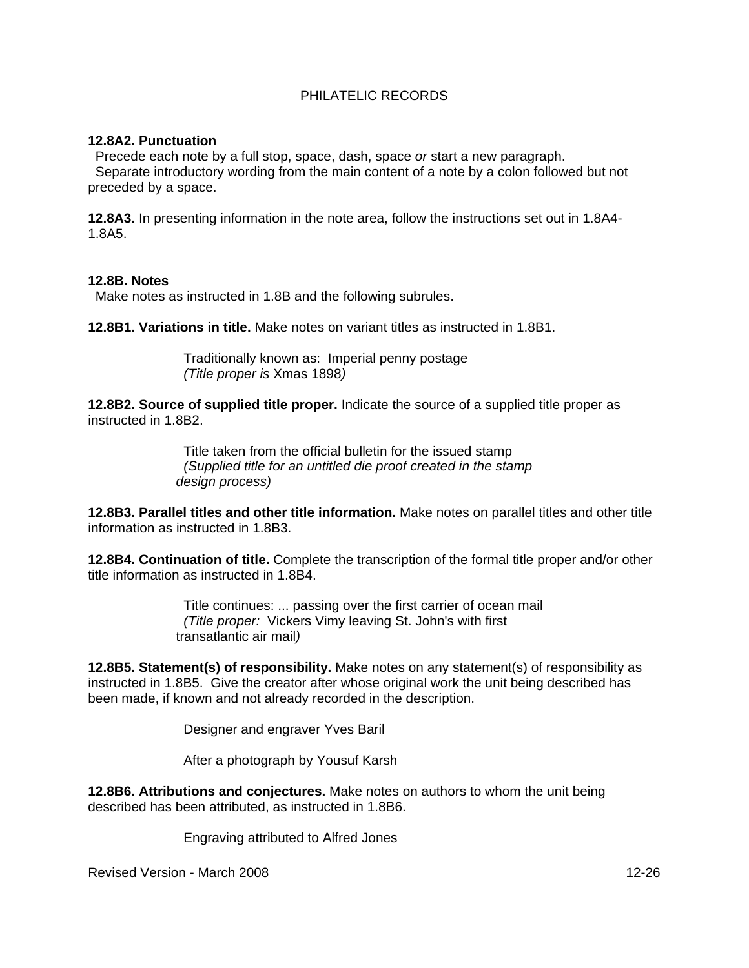## **12.8A2. Punctuation**

 Precede each note by a full stop, space, dash, space *or* start a new paragraph. Separate introductory wording from the main content of a note by a colon followed but not preceded by a space.

**12.8A3.** In presenting information in the note area, follow the instructions set out in 1.8A4- 1.8A5.

#### **12.8B. Notes**

Make notes as instructed in 1.8B and the following subrules.

**12.8B1. Variations in title.** Make notes on variant titles as instructed in 1.8B1.

 Traditionally known as: Imperial penny postage  *(Title proper is* Xmas 1898*)*

**12.8B2. Source of supplied title proper.** Indicate the source of a supplied title proper as instructed in 1.8B2.

> Title taken from the official bulletin for the issued stamp *(Supplied title for an untitled die proof created in the stamp design process)*

**12.8B3. Parallel titles and other title information.** Make notes on parallel titles and other title information as instructed in 1.8B3.

**12.8B4. Continuation of title.** Complete the transcription of the formal title proper and/or other title information as instructed in 1.8B4.

> Title continues: ... passing over the first carrier of ocean mail *(Title proper:* Vickers Vimy leaving St. John's with first transatlantic air mail*)*

**12.8B5. Statement(s) of responsibility.** Make notes on any statement(s) of responsibility as instructed in 1.8B5. Give the creator after whose original work the unit being described has been made, if known and not already recorded in the description.

Designer and engraver Yves Baril

After a photograph by Yousuf Karsh

**12.8B6. Attributions and conjectures.** Make notes on authors to whom the unit being described has been attributed, as instructed in 1.8B6.

Engraving attributed to Alfred Jones

Revised Version - March 2008 12-26 12-26 12-26 12-26 12-26 12-26 12-26 12-26 12-26 12-26 12-26 12-26 12-26 12-26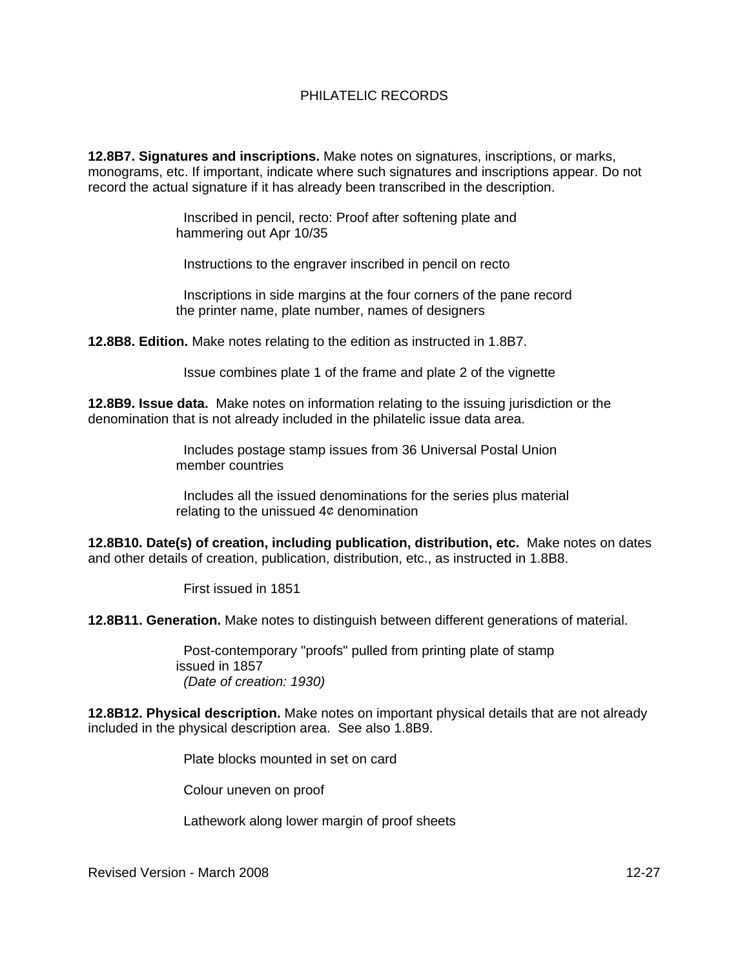**12.8B7. Signatures and inscriptions.** Make notes on signatures, inscriptions, or marks, monograms, etc. If important, indicate where such signatures and inscriptions appear. Do not record the actual signature if it has already been transcribed in the description.

> Inscribed in pencil, recto: Proof after softening plate and hammering out Apr 10/35

Instructions to the engraver inscribed in pencil on recto

 Inscriptions in side margins at the four corners of the pane record the printer name, plate number, names of designers

**12.8B8. Edition.** Make notes relating to the edition as instructed in 1.8B7.

Issue combines plate 1 of the frame and plate 2 of the vignette

**12.8B9. Issue data.** Make notes on information relating to the issuing jurisdiction or the denomination that is not already included in the philatelic issue data area.

> Includes postage stamp issues from 36 Universal Postal Union member countries

 Includes all the issued denominations for the series plus material relating to the unissued  $4¢$  denomination

**12.8B10. Date(s) of creation, including publication, distribution, etc.** Make notes on dates and other details of creation, publication, distribution, etc., as instructed in 1.8B8.

First issued in 1851

**12.8B11. Generation.** Make notes to distinguish between different generations of material.

 Post-contemporary "proofs" pulled from printing plate of stamp issued in 1857 *(Date of creation: 1930)*

**12.8B12. Physical description.** Make notes on important physical details that are not already included in the physical description area. See also 1.8B9.

Plate blocks mounted in set on card

Colour uneven on proof

Lathework along lower margin of proof sheets

Revised Version - March 2008 12-27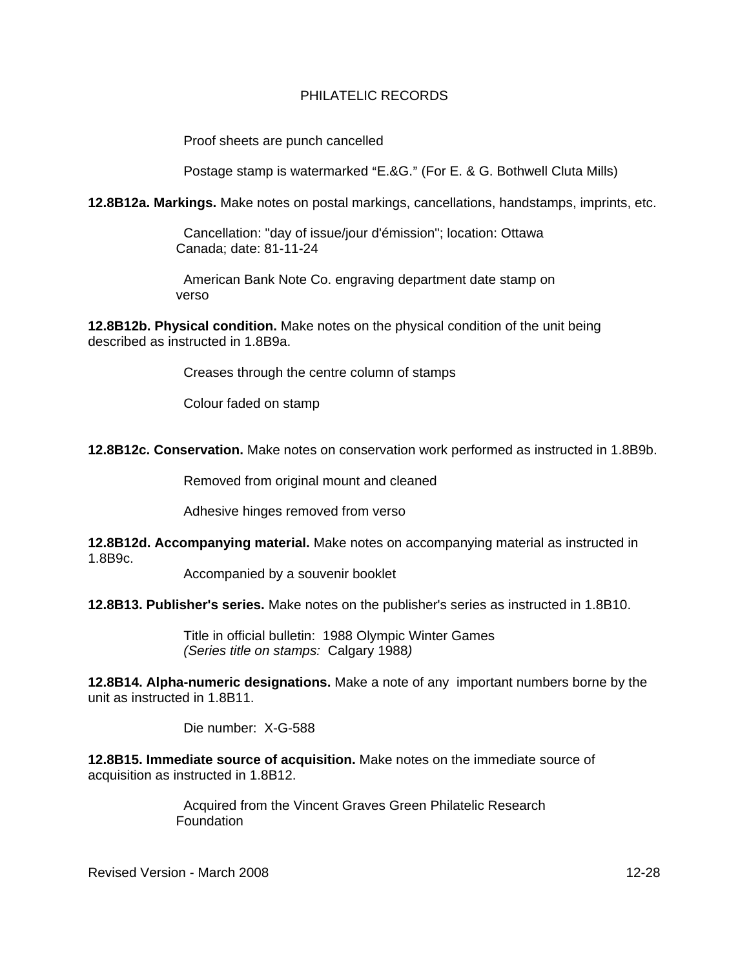Proof sheets are punch cancelled

Postage stamp is watermarked "E.&G." (For E. & G. Bothwell Cluta Mills)

**12.8B12a. Markings.** Make notes on postal markings, cancellations, handstamps, imprints, etc.

 Cancellation: "day of issue/jour d'émission"; location: Ottawa Canada; date: 81-11-24

 American Bank Note Co. engraving department date stamp on verso

**12.8B12b. Physical condition.** Make notes on the physical condition of the unit being described as instructed in 1.8B9a.

Creases through the centre column of stamps

Colour faded on stamp

**12.8B12c. Conservation.** Make notes on conservation work performed as instructed in 1.8B9b.

Removed from original mount and cleaned

Adhesive hinges removed from verso

**12.8B12d. Accompanying material.** Make notes on accompanying material as instructed in 1.8B9c.

Accompanied by a souvenir booklet

**12.8B13. Publisher's series.** Make notes on the publisher's series as instructed in 1.8B10.

 Title in official bulletin: 1988 Olympic Winter Games *(Series title on stamps:* Calgary 1988*)*

**12.8B14. Alpha-numeric designations.** Make a note of any important numbers borne by the unit as instructed in 1.8B11.

Die number: X-G-588

**12.8B15. Immediate source of acquisition.** Make notes on the immediate source of acquisition as instructed in 1.8B12.

> Acquired from the Vincent Graves Green Philatelic Research Foundation

Revised Version - March 2008 12-28 12-28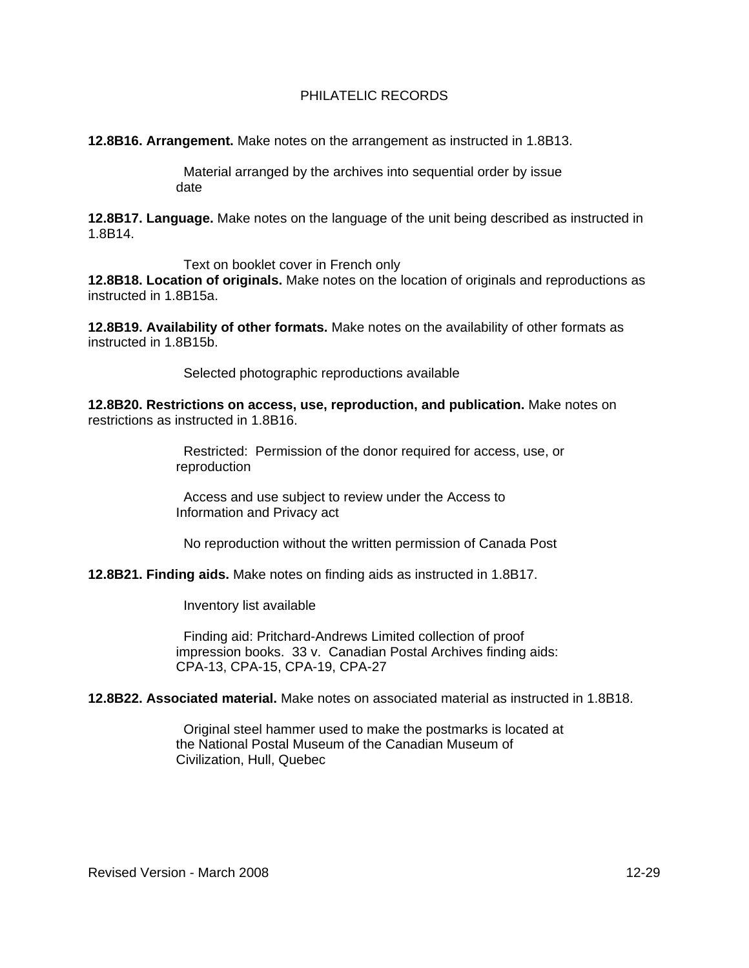**12.8B16. Arrangement.** Make notes on the arrangement as instructed in 1.8B13.

 Material arranged by the archives into sequential order by issue date

**12.8B17. Language.** Make notes on the language of the unit being described as instructed in 1.8B14.

Text on booklet cover in French only

**12.8B18. Location of originals.** Make notes on the location of originals and reproductions as instructed in 1.8B15a.

**12.8B19. Availability of other formats.** Make notes on the availability of other formats as instructed in 1.8B15b.

Selected photographic reproductions available

**12.8B20. Restrictions on access, use, reproduction, and publication.** Make notes on restrictions as instructed in 1.8B16.

> Restricted: Permission of the donor required for access, use, or reproduction

 Access and use subject to review under the Access to Information and Privacy act

No reproduction without the written permission of Canada Post

**12.8B21. Finding aids.** Make notes on finding aids as instructed in 1.8B17.

Inventory list available

 Finding aid: Pritchard-Andrews Limited collection of proof impression books. 33 v. Canadian Postal Archives finding aids: CPA-13, CPA-15, CPA-19, CPA-27

**12.8B22. Associated material.** Make notes on associated material as instructed in 1.8B18.

 Original steel hammer used to make the postmarks is located at the National Postal Museum of the Canadian Museum of Civilization, Hull, Quebec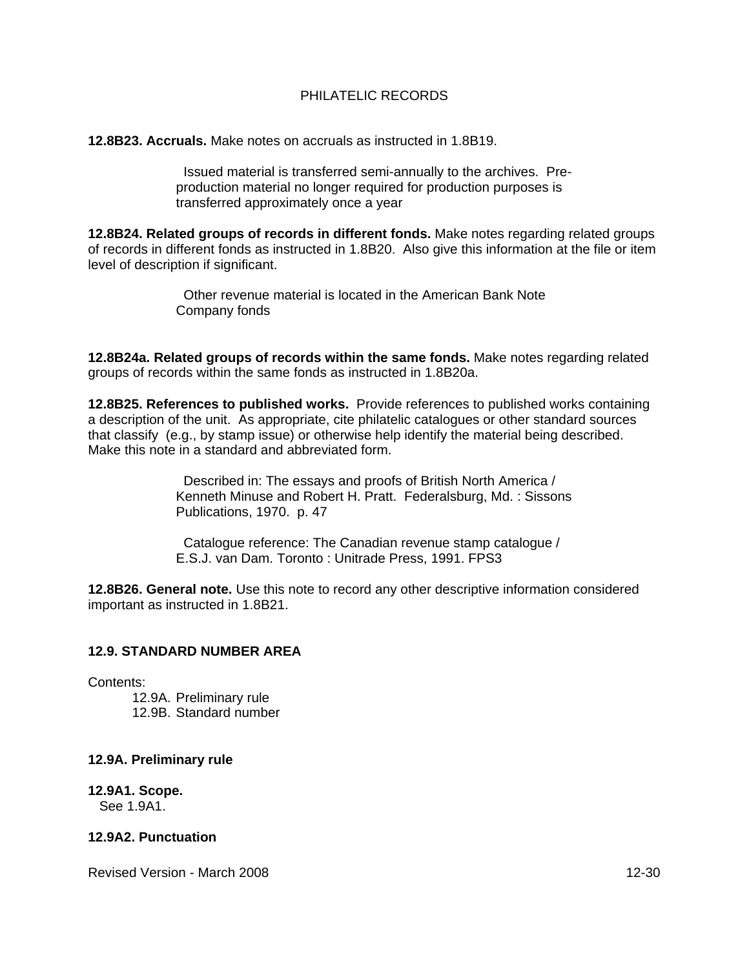**12.8B23. Accruals.** Make notes on accruals as instructed in 1.8B19.

 Issued material is transferred semi-annually to the archives. Preproduction material no longer required for production purposes is transferred approximately once a year

**12.8B24. Related groups of records in different fonds.** Make notes regarding related groups of records in different fonds as instructed in 1.8B20. Also give this information at the file or item level of description if significant.

> Other revenue material is located in the American Bank Note Company fonds

**12.8B24a. Related groups of records within the same fonds.** Make notes regarding related groups of records within the same fonds as instructed in 1.8B20a.

**12.8B25. References to published works.** Provide references to published works containing a description of the unit. As appropriate, cite philatelic catalogues or other standard sources that classify (e.g., by stamp issue) or otherwise help identify the material being described. Make this note in a standard and abbreviated form.

> Described in: The essays and proofs of British North America / Kenneth Minuse and Robert H. Pratt. Federalsburg, Md. : Sissons Publications, 1970. p. 47

 Catalogue reference: The Canadian revenue stamp catalogue / E.S.J. van Dam. Toronto : Unitrade Press, 1991. FPS3

**12.8B26. General note.** Use this note to record any other descriptive information considered important as instructed in 1.8B21.

#### **12.9. STANDARD NUMBER AREA**

Contents:

12.9A. Preliminary rule 12.9B. Standard number

#### **12.9A. Preliminary rule**

#### **12.9A1. Scope.** See 1.9A1.

#### **12.9A2. Punctuation**

Revised Version - March 2008 12-30 12-30 12-30